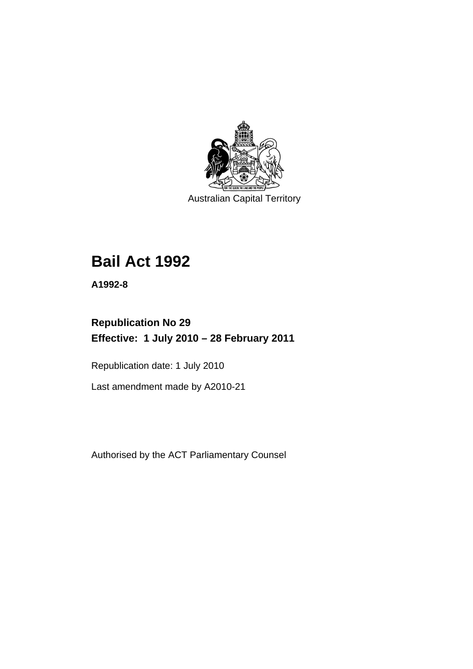

Australian Capital Territory

# **[Bail Act 1992](#page-6-0)**

**A1992-8** 

# **Republication No 29 Effective: 1 July 2010 – 28 February 2011**

Republication date: 1 July 2010

Last amendment made by A2010-21

Authorised by the ACT Parliamentary Counsel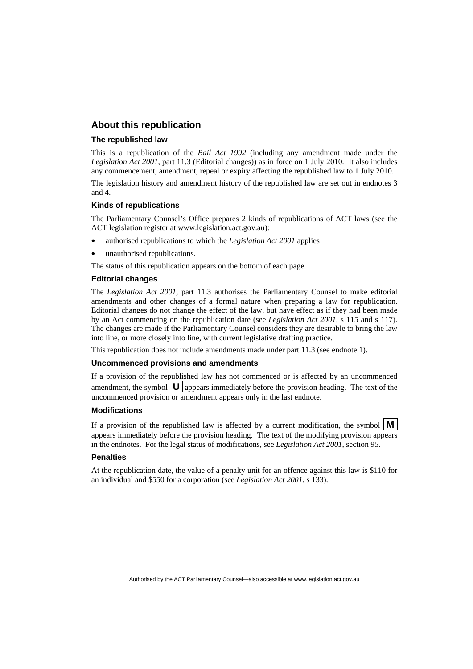## **About this republication**

#### **The republished law**

This is a republication of the *Bail Act 1992* (including any amendment made under the *Legislation Act 2001*, part 11.3 (Editorial changes)) as in force on 1 July 2010*.* It also includes any commencement, amendment, repeal or expiry affecting the republished law to 1 July 2010.

The legislation history and amendment history of the republished law are set out in endnotes 3 and 4.

#### **Kinds of republications**

The Parliamentary Counsel's Office prepares 2 kinds of republications of ACT laws (see the ACT legislation register at www.legislation.act.gov.au):

- authorised republications to which the *Legislation Act 2001* applies
- unauthorised republications.

The status of this republication appears on the bottom of each page.

#### **Editorial changes**

The *Legislation Act 2001*, part 11.3 authorises the Parliamentary Counsel to make editorial amendments and other changes of a formal nature when preparing a law for republication. Editorial changes do not change the effect of the law, but have effect as if they had been made by an Act commencing on the republication date (see *Legislation Act 2001*, s 115 and s 117). The changes are made if the Parliamentary Counsel considers they are desirable to bring the law into line, or more closely into line, with current legislative drafting practice.

This republication does not include amendments made under part 11.3 (see endnote 1).

#### **Uncommenced provisions and amendments**

If a provision of the republished law has not commenced or is affected by an uncommenced amendment, the symbol  $\mathbf{U}$  appears immediately before the provision heading. The text of the uncommenced provision or amendment appears only in the last endnote.

#### **Modifications**

If a provision of the republished law is affected by a current modification, the symbol  $\mathbf{M}$ appears immediately before the provision heading. The text of the modifying provision appears in the endnotes. For the legal status of modifications, see *Legislation Act 2001*, section 95.

#### **Penalties**

At the republication date, the value of a penalty unit for an offence against this law is \$110 for an individual and \$550 for a corporation (see *Legislation Act 2001*, s 133).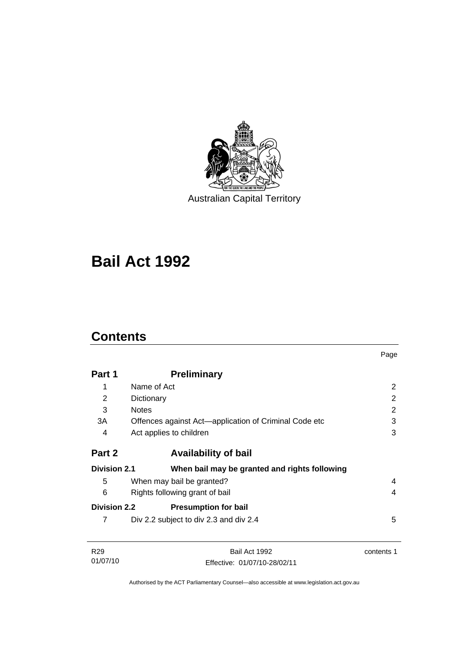

Australian Capital Territory

# **[Bail Act 1992](#page-6-0)**

# **Contents**

01/07/10

|                     |                                                       | Page           |
|---------------------|-------------------------------------------------------|----------------|
| Part 1              | <b>Preliminary</b>                                    |                |
| 1                   | Name of Act                                           | 2              |
| 2                   | Dictionary                                            | $\overline{2}$ |
| 3                   | <b>Notes</b>                                          | $\overline{2}$ |
| 3A                  | Offences against Act—application of Criminal Code etc | 3              |
| 4                   | Act applies to children                               | 3              |
| Part 2              | <b>Availability of bail</b>                           |                |
| <b>Division 2.1</b> | When bail may be granted and rights following         |                |
| 5                   | When may bail be granted?                             | 4              |
| 6                   | Rights following grant of bail                        | 4              |
| <b>Division 2.2</b> | <b>Presumption for bail</b>                           |                |
| 7                   | Div 2.2 subject to div 2.3 and div 2.4                | 5              |
| R <sub>29</sub>     | Bail Act 1992                                         | contents 1     |

Authorised by the ACT Parliamentary Counsel—also accessible at www.legislation.act.gov.au

Effective: 01/07/10-28/02/11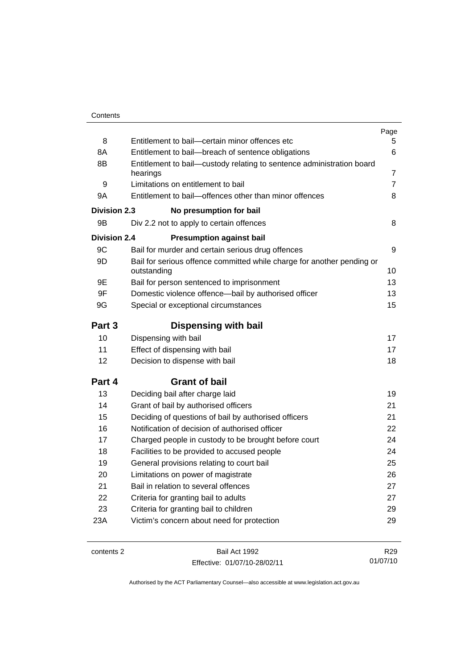| 8<br>Entitlement to bail-certain minor offences etc<br>8A<br>Entitlement to bail-breach of sentence obligations<br>8B<br>Entitlement to bail—custody relating to sentence administration board<br>hearings<br>Limitations on entitlement to bail<br>9<br>Entitlement to bail-offences other than minor offences<br>9Α<br>Division 2.3<br>No presumption for bail<br>9Β<br>Div 2.2 not to apply to certain offences<br><b>Division 2.4</b><br><b>Presumption against bail</b><br>9C<br>Bail for murder and certain serious drug offences<br>9D<br>Bail for serious offence committed while charge for another pending or<br>outstanding<br>9Ε<br>Bail for person sentenced to imprisonment<br>9F<br>Domestic violence offence-bail by authorised officer<br>9G<br>Special or exceptional circumstances<br>Part 3<br><b>Dispensing with bail</b> | 5.<br>6<br>7<br>$\overline{7}$<br>8 |
|------------------------------------------------------------------------------------------------------------------------------------------------------------------------------------------------------------------------------------------------------------------------------------------------------------------------------------------------------------------------------------------------------------------------------------------------------------------------------------------------------------------------------------------------------------------------------------------------------------------------------------------------------------------------------------------------------------------------------------------------------------------------------------------------------------------------------------------------|-------------------------------------|
|                                                                                                                                                                                                                                                                                                                                                                                                                                                                                                                                                                                                                                                                                                                                                                                                                                                |                                     |
|                                                                                                                                                                                                                                                                                                                                                                                                                                                                                                                                                                                                                                                                                                                                                                                                                                                |                                     |
|                                                                                                                                                                                                                                                                                                                                                                                                                                                                                                                                                                                                                                                                                                                                                                                                                                                |                                     |
|                                                                                                                                                                                                                                                                                                                                                                                                                                                                                                                                                                                                                                                                                                                                                                                                                                                |                                     |
|                                                                                                                                                                                                                                                                                                                                                                                                                                                                                                                                                                                                                                                                                                                                                                                                                                                |                                     |
|                                                                                                                                                                                                                                                                                                                                                                                                                                                                                                                                                                                                                                                                                                                                                                                                                                                |                                     |
|                                                                                                                                                                                                                                                                                                                                                                                                                                                                                                                                                                                                                                                                                                                                                                                                                                                | 8                                   |
|                                                                                                                                                                                                                                                                                                                                                                                                                                                                                                                                                                                                                                                                                                                                                                                                                                                |                                     |
|                                                                                                                                                                                                                                                                                                                                                                                                                                                                                                                                                                                                                                                                                                                                                                                                                                                | 9                                   |
|                                                                                                                                                                                                                                                                                                                                                                                                                                                                                                                                                                                                                                                                                                                                                                                                                                                | 10                                  |
|                                                                                                                                                                                                                                                                                                                                                                                                                                                                                                                                                                                                                                                                                                                                                                                                                                                | 13                                  |
|                                                                                                                                                                                                                                                                                                                                                                                                                                                                                                                                                                                                                                                                                                                                                                                                                                                | 13                                  |
|                                                                                                                                                                                                                                                                                                                                                                                                                                                                                                                                                                                                                                                                                                                                                                                                                                                | 15                                  |
|                                                                                                                                                                                                                                                                                                                                                                                                                                                                                                                                                                                                                                                                                                                                                                                                                                                |                                     |
| 10<br>Dispensing with bail                                                                                                                                                                                                                                                                                                                                                                                                                                                                                                                                                                                                                                                                                                                                                                                                                     | 17                                  |
| 11<br>Effect of dispensing with bail                                                                                                                                                                                                                                                                                                                                                                                                                                                                                                                                                                                                                                                                                                                                                                                                           | 17                                  |
| 12<br>Decision to dispense with bail                                                                                                                                                                                                                                                                                                                                                                                                                                                                                                                                                                                                                                                                                                                                                                                                           | 18                                  |
| Part 4<br><b>Grant of bail</b>                                                                                                                                                                                                                                                                                                                                                                                                                                                                                                                                                                                                                                                                                                                                                                                                                 |                                     |
| 13<br>Deciding bail after charge laid                                                                                                                                                                                                                                                                                                                                                                                                                                                                                                                                                                                                                                                                                                                                                                                                          | 19                                  |
| 14<br>Grant of bail by authorised officers                                                                                                                                                                                                                                                                                                                                                                                                                                                                                                                                                                                                                                                                                                                                                                                                     | 21                                  |
| 15<br>Deciding of questions of bail by authorised officers                                                                                                                                                                                                                                                                                                                                                                                                                                                                                                                                                                                                                                                                                                                                                                                     | 21                                  |
| Notification of decision of authorised officer<br>16                                                                                                                                                                                                                                                                                                                                                                                                                                                                                                                                                                                                                                                                                                                                                                                           | 22                                  |
| 17<br>Charged people in custody to be brought before court                                                                                                                                                                                                                                                                                                                                                                                                                                                                                                                                                                                                                                                                                                                                                                                     | 24                                  |
| 18<br>Facilities to be provided to accused people                                                                                                                                                                                                                                                                                                                                                                                                                                                                                                                                                                                                                                                                                                                                                                                              | 24                                  |
| 19<br>General provisions relating to court bail                                                                                                                                                                                                                                                                                                                                                                                                                                                                                                                                                                                                                                                                                                                                                                                                | 25                                  |
| 20<br>Limitations on power of magistrate                                                                                                                                                                                                                                                                                                                                                                                                                                                                                                                                                                                                                                                                                                                                                                                                       | 26                                  |
| Bail in relation to several offences<br>21                                                                                                                                                                                                                                                                                                                                                                                                                                                                                                                                                                                                                                                                                                                                                                                                     | 27                                  |
| 22<br>Criteria for granting bail to adults                                                                                                                                                                                                                                                                                                                                                                                                                                                                                                                                                                                                                                                                                                                                                                                                     | 27                                  |
| 23<br>Criteria for granting bail to children                                                                                                                                                                                                                                                                                                                                                                                                                                                                                                                                                                                                                                                                                                                                                                                                   | 29                                  |
| Victim's concern about need for protection<br>23A                                                                                                                                                                                                                                                                                                                                                                                                                                                                                                                                                                                                                                                                                                                                                                                              | 29                                  |
| contents 2<br>Bail Act 1992                                                                                                                                                                                                                                                                                                                                                                                                                                                                                                                                                                                                                                                                                                                                                                                                                    |                                     |

Effective: 01/07/10-28/02/11

01/07/10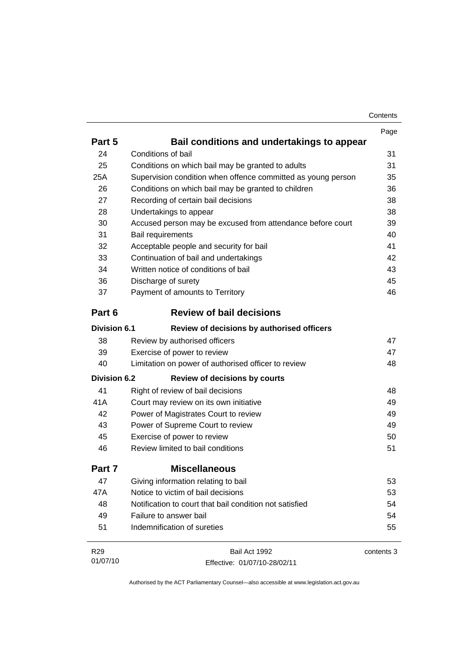| Contents |
|----------|
|----------|

|                     |                                                              | Page       |
|---------------------|--------------------------------------------------------------|------------|
| Part 5              | Bail conditions and undertakings to appear                   |            |
| 24                  | Conditions of bail                                           | 31         |
| 25                  | Conditions on which bail may be granted to adults            | 31         |
| 25A                 | Supervision condition when offence committed as young person | 35         |
| 26                  | Conditions on which bail may be granted to children          | 36         |
| 27                  | Recording of certain bail decisions                          | 38         |
| 28                  | Undertakings to appear                                       | 38         |
| 30                  | Accused person may be excused from attendance before court   | 39         |
| 31                  | Bail requirements                                            | 40         |
| 32                  | Acceptable people and security for bail                      | 41         |
| 33                  | Continuation of bail and undertakings                        | 42         |
| 34                  | Written notice of conditions of bail                         | 43         |
| 36                  | Discharge of surety                                          | 45         |
| 37                  | Payment of amounts to Territory                              | 46         |
| Part 6              | <b>Review of bail decisions</b>                              |            |
| <b>Division 6.1</b> | Review of decisions by authorised officers                   |            |
| 38                  | Review by authorised officers                                | 47         |
| 39                  | Exercise of power to review                                  | 47         |
| 40                  | Limitation on power of authorised officer to review          | 48         |
| <b>Division 6.2</b> | <b>Review of decisions by courts</b>                         |            |
| 41                  | Right of review of bail decisions                            | 48         |
| 41A                 | Court may review on its own initiative                       | 49         |
| 42                  | Power of Magistrates Court to review                         | 49         |
| 43                  | Power of Supreme Court to review                             | 49         |
| 45                  | Exercise of power to review                                  | 50         |
| 46                  | Review limited to bail conditions                            | 51         |
| Part 7              | <b>Miscellaneous</b>                                         |            |
| 47                  | Giving information relating to bail                          | 53         |
| 47A                 | Notice to victim of bail decisions                           | 53         |
| 48                  | Notification to court that bail condition not satisfied      | 54         |
| 49                  | Failure to answer bail                                       | 54         |
| 51                  | Indemnification of sureties                                  | 55         |
| R <sub>29</sub>     | Bail Act 1992                                                | contents 3 |
| 01/07/10            | Effective: 01/07/10-28/02/11                                 |            |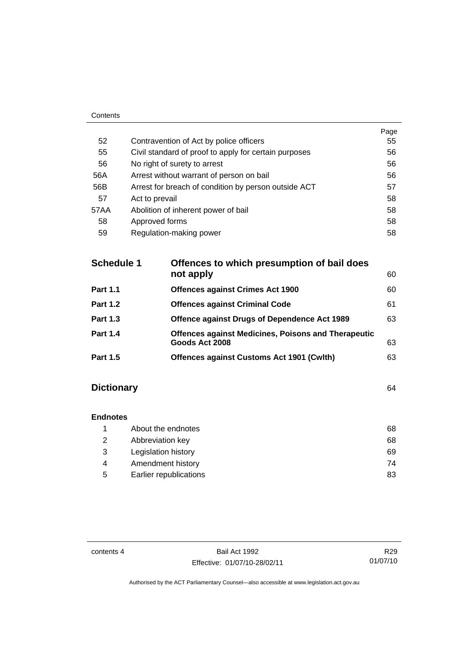| Contents |                                                       |      |
|----------|-------------------------------------------------------|------|
|          |                                                       | Page |
| 52       | Contravention of Act by police officers               | 55   |
| 55       | Civil standard of proof to apply for certain purposes | 56   |
| 56       | No right of surety to arrest                          | 56   |
| 56A      | Arrest without warrant of person on bail              | 56   |
| 56B      | Arrest for breach of condition by person outside ACT  | 57   |
| 57       | Act to prevail                                        | 58   |
| 57AA     | Abolition of inherent power of bail                   | 58   |
| 58       | Approved forms                                        | 58   |
| 59       | Regulation-making power                               | 58   |

| <b>Schedule 1</b> | Offences to which presumption of bail does<br>not apply                      | 60 |
|-------------------|------------------------------------------------------------------------------|----|
| <b>Part 1.1</b>   | <b>Offences against Crimes Act 1900</b>                                      | 60 |
| <b>Part 1.2</b>   | <b>Offences against Criminal Code</b>                                        | 61 |
| <b>Part 1.3</b>   | <b>Offence against Drugs of Dependence Act 1989</b>                          | 63 |
| <b>Part 1.4</b>   | <b>Offences against Medicines, Poisons and Therapeutic</b><br>Goods Act 2008 | 63 |
| <b>Part 1.5</b>   | <b>Offences against Customs Act 1901 (Cwith)</b>                             | 63 |
|                   |                                                                              |    |

# **Dictionary** [64](#page-69-0)

| <b>Endnotes</b> |                        |    |
|-----------------|------------------------|----|
|                 | About the endnotes     | 68 |
| 2               | Abbreviation key       | 68 |
| 3               | Legislation history    | 69 |
| 4               | Amendment history      | 74 |
| 5               | Earlier republications | 83 |

contents 4 Bail Act 1992 Effective: 01/07/10-28/02/11

R29 01/07/10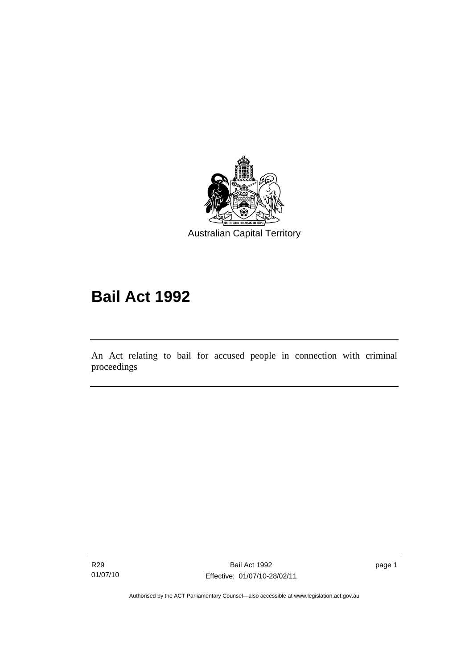<span id="page-6-0"></span>

# **Bail Act 1992**

An Act relating to bail for accused people in connection with criminal proceedings

R29 01/07/10

l

page 1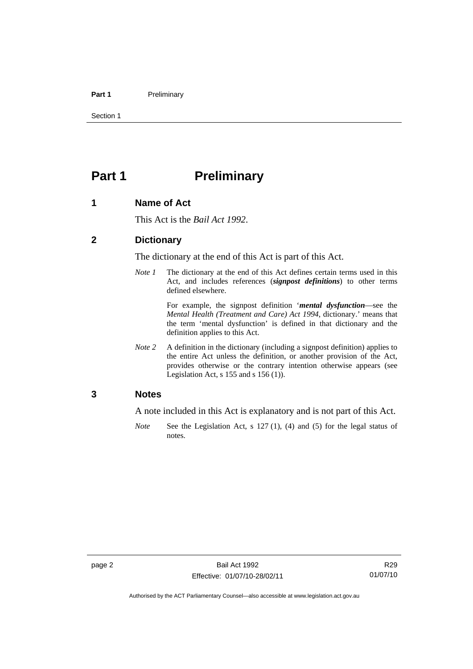#### <span id="page-7-0"></span>Part 1 **Preliminary**

Section 1

# **Part 1** Preliminary

## **1 Name of Act**

This Act is the *Bail Act 1992*.

## **2 Dictionary**

The dictionary at the end of this Act is part of this Act.

*Note 1* The dictionary at the end of this Act defines certain terms used in this Act, and includes references (*signpost definitions*) to other terms defined elsewhere.

> For example, the signpost definition '*mental dysfunction*—see the *Mental Health (Treatment and Care) Act 1994*, dictionary.' means that the term 'mental dysfunction' is defined in that dictionary and the definition applies to this Act.

*Note* 2 A definition in the dictionary (including a signpost definition) applies to the entire Act unless the definition, or another provision of the Act, provides otherwise or the contrary intention otherwise appears (see Legislation Act, s  $155$  and s  $156$  (1)).

## **3 Notes**

A note included in this Act is explanatory and is not part of this Act.

*Note* See the Legislation Act, s 127 (1), (4) and (5) for the legal status of notes.

R29 01/07/10

Authorised by the ACT Parliamentary Counsel—also accessible at www.legislation.act.gov.au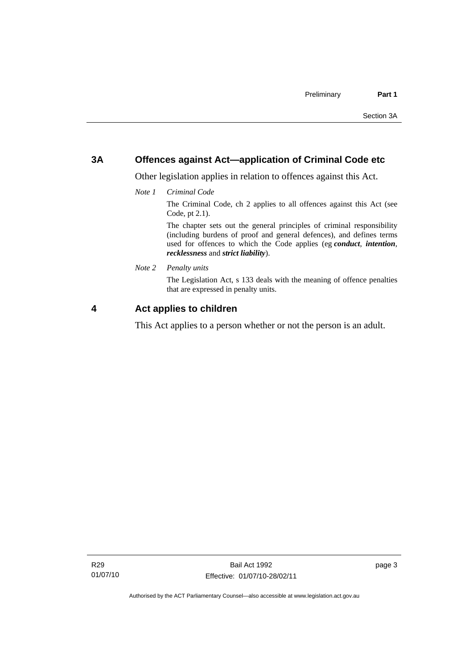## <span id="page-8-0"></span>**3A Offences against Act—application of Criminal Code etc**

Other legislation applies in relation to offences against this Act.

*Note 1 Criminal Code*

The Criminal Code, ch 2 applies to all offences against this Act (see Code, pt 2.1).

The chapter sets out the general principles of criminal responsibility (including burdens of proof and general defences), and defines terms used for offences to which the Code applies (eg *conduct*, *intention*, *recklessness* and *strict liability*).

*Note 2 Penalty units* 

The Legislation Act, s 133 deals with the meaning of offence penalties that are expressed in penalty units.

## **4 Act applies to children**

This Act applies to a person whether or not the person is an adult.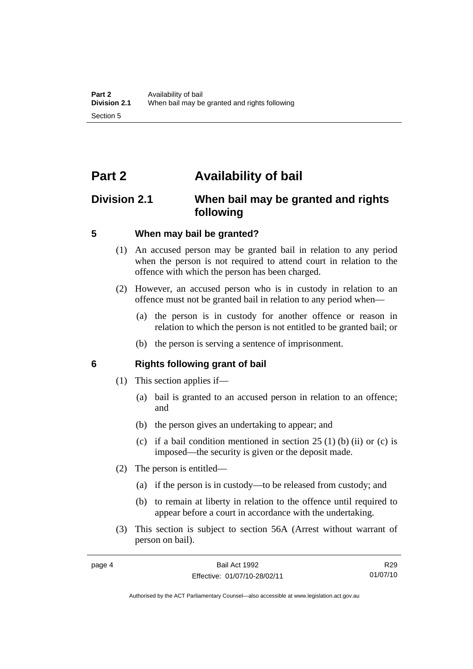# <span id="page-9-0"></span>**Part 2 Availability of bail**

# **Division 2.1 When bail may be granted and rights following**

## **5 When may bail be granted?**

- (1) An accused person may be granted bail in relation to any period when the person is not required to attend court in relation to the offence with which the person has been charged.
- (2) However, an accused person who is in custody in relation to an offence must not be granted bail in relation to any period when—
	- (a) the person is in custody for another offence or reason in relation to which the person is not entitled to be granted bail; or
	- (b) the person is serving a sentence of imprisonment.

## **6 Rights following grant of bail**

- (1) This section applies if—
	- (a) bail is granted to an accused person in relation to an offence; and
	- (b) the person gives an undertaking to appear; and
	- (c) if a bail condition mentioned in section  $25(1)$  (b) (ii) or (c) is imposed—the security is given or the deposit made.
- (2) The person is entitled—
	- (a) if the person is in custody—to be released from custody; and
	- (b) to remain at liberty in relation to the offence until required to appear before a court in accordance with the undertaking.
- (3) This section is subject to section 56A (Arrest without warrant of person on bail).

R29 01/07/10

Authorised by the ACT Parliamentary Counsel—also accessible at www.legislation.act.gov.au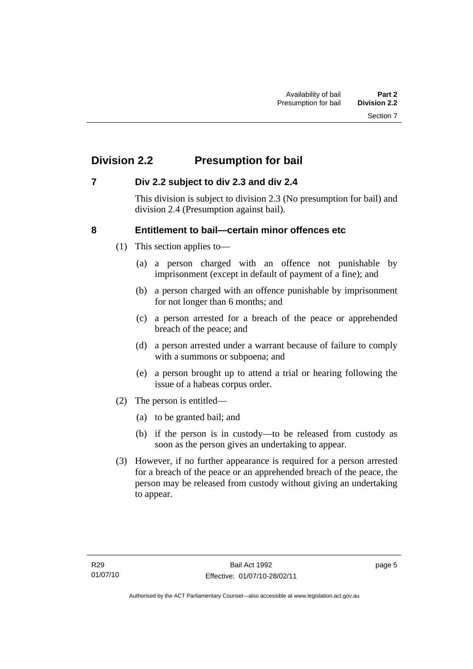# <span id="page-10-0"></span>**Division 2.2 Presumption for bail**

## **7 Div 2.2 subject to div 2.3 and div 2.4**

This division is subject to division 2.3 (No presumption for bail) and division 2.4 (Presumption against bail).

## **8 Entitlement to bail—certain minor offences etc**

- (1) This section applies to—
	- (a) a person charged with an offence not punishable by imprisonment (except in default of payment of a fine); and
	- (b) a person charged with an offence punishable by imprisonment for not longer than 6 months; and
	- (c) a person arrested for a breach of the peace or apprehended breach of the peace; and
	- (d) a person arrested under a warrant because of failure to comply with a summons or subpoena; and
	- (e) a person brought up to attend a trial or hearing following the issue of a habeas corpus order.
- (2) The person is entitled—
	- (a) to be granted bail; and
	- (b) if the person is in custody—to be released from custody as soon as the person gives an undertaking to appear.
- (3) However, if no further appearance is required for a person arrested for a breach of the peace or an apprehended breach of the peace, the person may be released from custody without giving an undertaking to appear.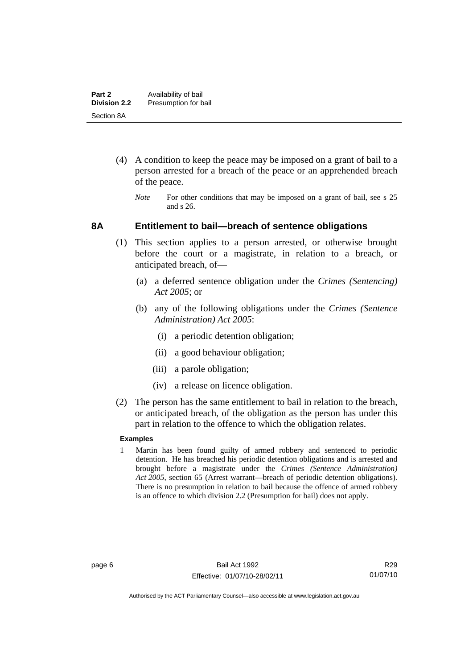- <span id="page-11-0"></span> (4) A condition to keep the peace may be imposed on a grant of bail to a person arrested for a breach of the peace or an apprehended breach of the peace.
	- *Note* For other conditions that may be imposed on a grant of bail, see s 25 and s 26.

## **8A Entitlement to bail—breach of sentence obligations**

- (1) This section applies to a person arrested, or otherwise brought before the court or a magistrate, in relation to a breach, or anticipated breach, of—
	- (a) a deferred sentence obligation under the *Crimes (Sentencing) Act 2005*; or
	- (b) any of the following obligations under the *Crimes (Sentence Administration) Act 2005*:
		- (i) a periodic detention obligation;
		- (ii) a good behaviour obligation;
		- (iii) a parole obligation;
		- (iv) a release on licence obligation.
- (2) The person has the same entitlement to bail in relation to the breach, or anticipated breach, of the obligation as the person has under this part in relation to the offence to which the obligation relates.

## **Examples**

1 Martin has been found guilty of armed robbery and sentenced to periodic detention. He has breached his periodic detention obligations and is arrested and brought before a magistrate under the *Crimes (Sentence Administration) Act 2005*, section 65 (Arrest warrant—breach of periodic detention obligations). There is no presumption in relation to bail because the offence of armed robbery is an offence to which division 2.2 (Presumption for bail) does not apply.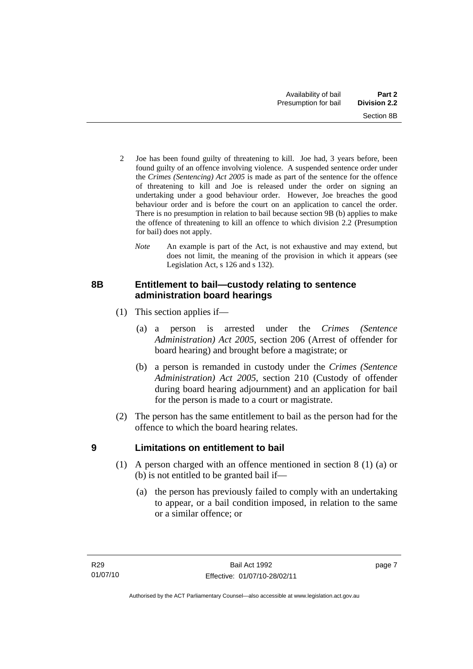- <span id="page-12-0"></span>2 Joe has been found guilty of threatening to kill. Joe had, 3 years before, been found guilty of an offence involving violence. A suspended sentence order under the *Crimes (Sentencing) Act 2005* is made as part of the sentence for the offence of threatening to kill and Joe is released under the order on signing an undertaking under a good behaviour order. However, Joe breaches the good behaviour order and is before the court on an application to cancel the order. There is no presumption in relation to bail because section 9B (b) applies to make the offence of threatening to kill an offence to which division 2.2 (Presumption for bail) does not apply.
	- *Note* An example is part of the Act, is not exhaustive and may extend, but does not limit, the meaning of the provision in which it appears (see Legislation Act, s 126 and s 132).

## **8B Entitlement to bail—custody relating to sentence administration board hearings**

- (1) This section applies if—
	- (a) a person is arrested under the *Crimes (Sentence Administration) Act 2005*, section 206 (Arrest of offender for board hearing) and brought before a magistrate; or
	- (b) a person is remanded in custody under the *Crimes (Sentence Administration) Act 2005*, section 210 (Custody of offender during board hearing adjournment) and an application for bail for the person is made to a court or magistrate.
- (2) The person has the same entitlement to bail as the person had for the offence to which the board hearing relates.

## **9 Limitations on entitlement to bail**

- (1) A person charged with an offence mentioned in section 8 (1) (a) or (b) is not entitled to be granted bail if—
	- (a) the person has previously failed to comply with an undertaking to appear, or a bail condition imposed, in relation to the same or a similar offence; or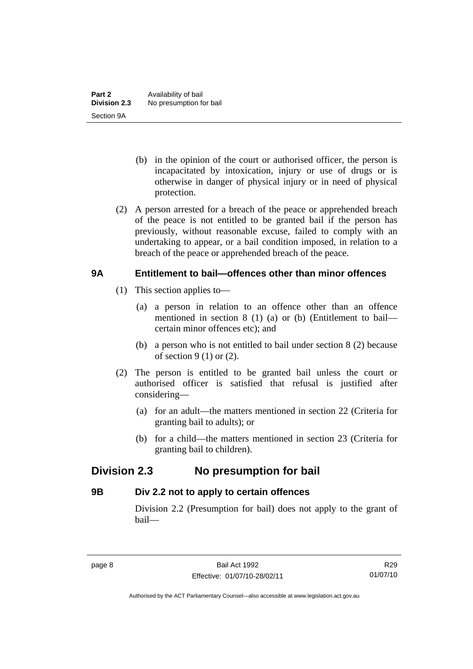- <span id="page-13-0"></span> (b) in the opinion of the court or authorised officer, the person is incapacitated by intoxication, injury or use of drugs or is otherwise in danger of physical injury or in need of physical protection.
- (2) A person arrested for a breach of the peace or apprehended breach of the peace is not entitled to be granted bail if the person has previously, without reasonable excuse, failed to comply with an undertaking to appear, or a bail condition imposed, in relation to a breach of the peace or apprehended breach of the peace.

## **9A Entitlement to bail—offences other than minor offences**

- (1) This section applies to—
	- (a) a person in relation to an offence other than an offence mentioned in section 8 (1) (a) or (b) (Entitlement to bail certain minor offences etc); and
	- (b) a person who is not entitled to bail under section 8 (2) because of section  $9(1)$  or  $(2)$ .
- (2) The person is entitled to be granted bail unless the court or authorised officer is satisfied that refusal is justified after considering—
	- (a) for an adult—the matters mentioned in section 22 (Criteria for granting bail to adults); or
	- (b) for a child—the matters mentioned in section 23 (Criteria for granting bail to children).

# **Division 2.3 No presumption for bail**

## **9B Div 2.2 not to apply to certain offences**

Division 2.2 (Presumption for bail) does not apply to the grant of bail—

R29 01/07/10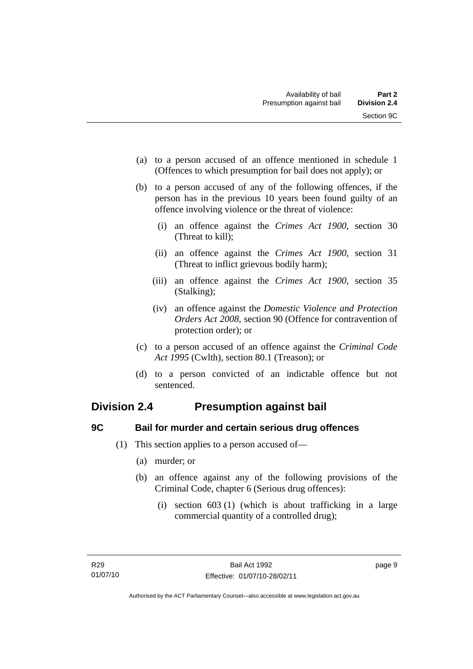- <span id="page-14-0"></span> (a) to a person accused of an offence mentioned in schedule 1 (Offences to which presumption for bail does not apply); or
- (b) to a person accused of any of the following offences, if the person has in the previous 10 years been found guilty of an offence involving violence or the threat of violence:
	- (i) an offence against the *Crimes Act 1900*, section 30 (Threat to kill);
	- (ii) an offence against the *Crimes Act 1900*, section 31 (Threat to inflict grievous bodily harm);
	- (iii) an offence against the *Crimes Act 1900*, section 35 (Stalking);
	- (iv) an offence against the *Domestic Violence and Protection Orders Act 2008*, section 90 (Offence for contravention of protection order); or
- (c) to a person accused of an offence against the *Criminal Code Act 1995* (Cwlth), section 80.1 (Treason); or
- (d) to a person convicted of an indictable offence but not sentenced.

# **Division 2.4 Presumption against bail**

# **9C Bail for murder and certain serious drug offences**

- (1) This section applies to a person accused of—
	- (a) murder; or
	- (b) an offence against any of the following provisions of the Criminal Code, chapter 6 (Serious drug offences):
		- (i) section 603 (1) (which is about trafficking in a large commercial quantity of a controlled drug);

page 9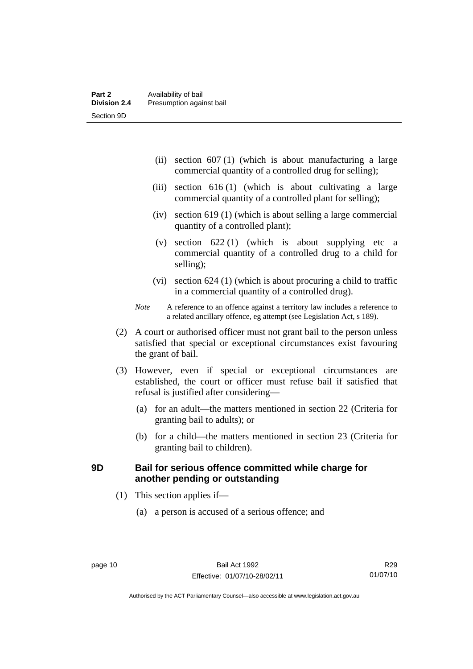- <span id="page-15-0"></span> (ii) section 607 (1) (which is about manufacturing a large commercial quantity of a controlled drug for selling);
- (iii) section 616 (1) (which is about cultivating a large commercial quantity of a controlled plant for selling);
- (iv) section 619 (1) (which is about selling a large commercial quantity of a controlled plant);
- (v) section  $622(1)$  (which is about supplying etc a commercial quantity of a controlled drug to a child for selling);
- (vi) section 624 (1) (which is about procuring a child to traffic in a commercial quantity of a controlled drug).
- *Note* A reference to an offence against a territory law includes a reference to a related ancillary offence, eg attempt (see Legislation Act, s 189).
- (2) A court or authorised officer must not grant bail to the person unless satisfied that special or exceptional circumstances exist favouring the grant of bail.
- (3) However, even if special or exceptional circumstances are established, the court or officer must refuse bail if satisfied that refusal is justified after considering—
	- (a) for an adult—the matters mentioned in section 22 (Criteria for granting bail to adults); or
	- (b) for a child—the matters mentioned in section 23 (Criteria for granting bail to children).

## **9D Bail for serious offence committed while charge for another pending or outstanding**

- (1) This section applies if—
	- (a) a person is accused of a serious offence; and

R29 01/07/10

Authorised by the ACT Parliamentary Counsel—also accessible at www.legislation.act.gov.au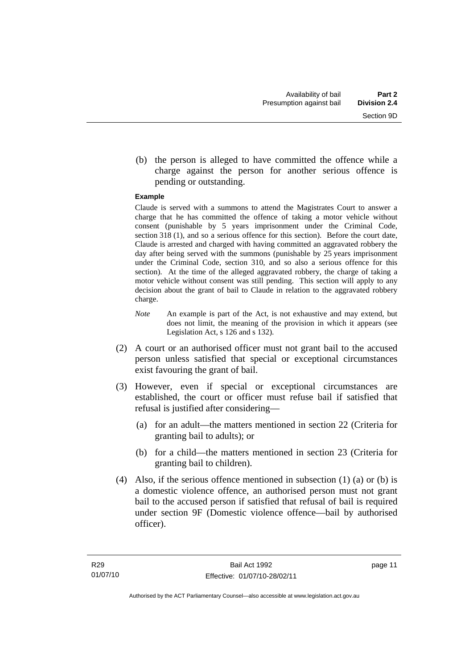(b) the person is alleged to have committed the offence while a charge against the person for another serious offence is pending or outstanding.

### **Example**

Claude is served with a summons to attend the Magistrates Court to answer a charge that he has committed the offence of taking a motor vehicle without consent (punishable by 5 years imprisonment under the Criminal Code, section 318 (1), and so a serious offence for this section). Before the court date, Claude is arrested and charged with having committed an aggravated robbery the day after being served with the summons (punishable by 25 years imprisonment under the Criminal Code, section 310, and so also a serious offence for this section). At the time of the alleged aggravated robbery, the charge of taking a motor vehicle without consent was still pending. This section will apply to any decision about the grant of bail to Claude in relation to the aggravated robbery charge.

- *Note* An example is part of the Act, is not exhaustive and may extend, but does not limit, the meaning of the provision in which it appears (see Legislation Act, s 126 and s 132).
- (2) A court or an authorised officer must not grant bail to the accused person unless satisfied that special or exceptional circumstances exist favouring the grant of bail.
- (3) However, even if special or exceptional circumstances are established, the court or officer must refuse bail if satisfied that refusal is justified after considering—
	- (a) for an adult—the matters mentioned in section 22 (Criteria for granting bail to adults); or
	- (b) for a child—the matters mentioned in section 23 (Criteria for granting bail to children).
- (4) Also, if the serious offence mentioned in subsection (1) (a) or (b) is a domestic violence offence, an authorised person must not grant bail to the accused person if satisfied that refusal of bail is required under section 9F (Domestic violence offence—bail by authorised officer).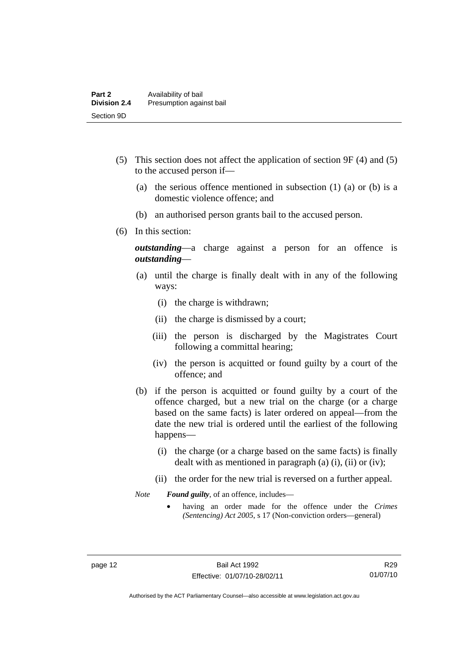- (5) This section does not affect the application of section 9F (4) and (5) to the accused person if—
	- (a) the serious offence mentioned in subsection (1) (a) or (b) is a domestic violence offence; and
	- (b) an authorised person grants bail to the accused person.
- (6) In this section:

*outstanding*—a charge against a person for an offence is *outstanding*—

- (a) until the charge is finally dealt with in any of the following ways:
	- (i) the charge is withdrawn;
	- (ii) the charge is dismissed by a court;
	- (iii) the person is discharged by the Magistrates Court following a committal hearing;
	- (iv) the person is acquitted or found guilty by a court of the offence; and
- (b) if the person is acquitted or found guilty by a court of the offence charged, but a new trial on the charge (or a charge based on the same facts) is later ordered on appeal—from the date the new trial is ordered until the earliest of the following happens—
	- (i) the charge (or a charge based on the same facts) is finally dealt with as mentioned in paragraph (a) (i), (ii) or (iv);
	- (ii) the order for the new trial is reversed on a further appeal.

*Note Found guilty*, of an offence, includes—

• having an order made for the offence under the *Crimes (Sentencing) Act 2005*, s 17 (Non-conviction orders—general)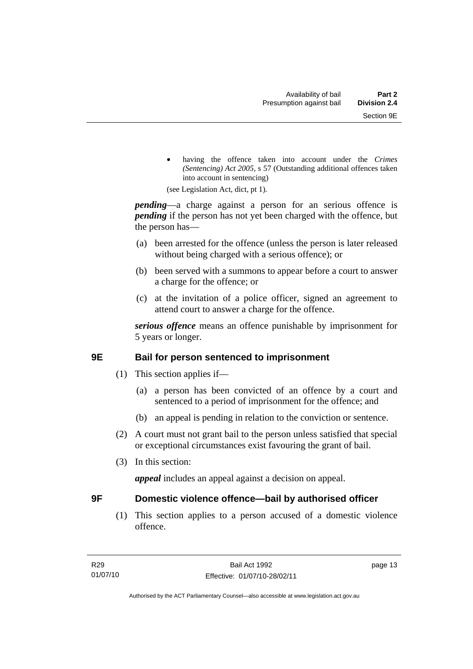<span id="page-18-0"></span>• having the offence taken into account under the *Crimes (Sentencing) Act 2005*, s 57 (Outstanding additional offences taken into account in sentencing)

(see Legislation Act, dict, pt 1).

*pending*—a charge against a person for an serious offence is *pending* if the person has not yet been charged with the offence, but the person has—

- (a) been arrested for the offence (unless the person is later released without being charged with a serious offence); or
- (b) been served with a summons to appear before a court to answer a charge for the offence; or
- (c) at the invitation of a police officer, signed an agreement to attend court to answer a charge for the offence.

*serious offence* means an offence punishable by imprisonment for 5 years or longer.

## **9E Bail for person sentenced to imprisonment**

- (1) This section applies if—
	- (a) a person has been convicted of an offence by a court and sentenced to a period of imprisonment for the offence; and
	- (b) an appeal is pending in relation to the conviction or sentence.
- (2) A court must not grant bail to the person unless satisfied that special or exceptional circumstances exist favouring the grant of bail.
- (3) In this section:

*appeal* includes an appeal against a decision on appeal.

## **9F Domestic violence offence—bail by authorised officer**

 (1) This section applies to a person accused of a domestic violence offence.

page 13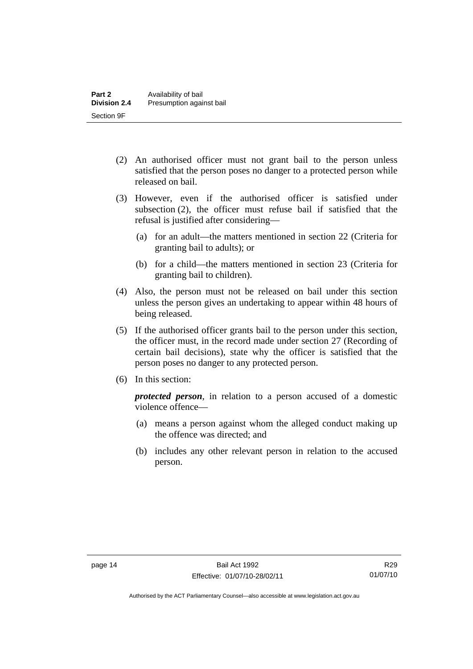- (2) An authorised officer must not grant bail to the person unless satisfied that the person poses no danger to a protected person while released on bail.
- (3) However, even if the authorised officer is satisfied under subsection (2), the officer must refuse bail if satisfied that the refusal is justified after considering—
	- (a) for an adult—the matters mentioned in section 22 (Criteria for granting bail to adults); or
	- (b) for a child—the matters mentioned in section 23 (Criteria for granting bail to children).
- (4) Also, the person must not be released on bail under this section unless the person gives an undertaking to appear within 48 hours of being released.
- (5) If the authorised officer grants bail to the person under this section, the officer must, in the record made under section 27 (Recording of certain bail decisions), state why the officer is satisfied that the person poses no danger to any protected person.
- (6) In this section:

*protected person*, in relation to a person accused of a domestic violence offence—

- (a) means a person against whom the alleged conduct making up the offence was directed; and
- (b) includes any other relevant person in relation to the accused person.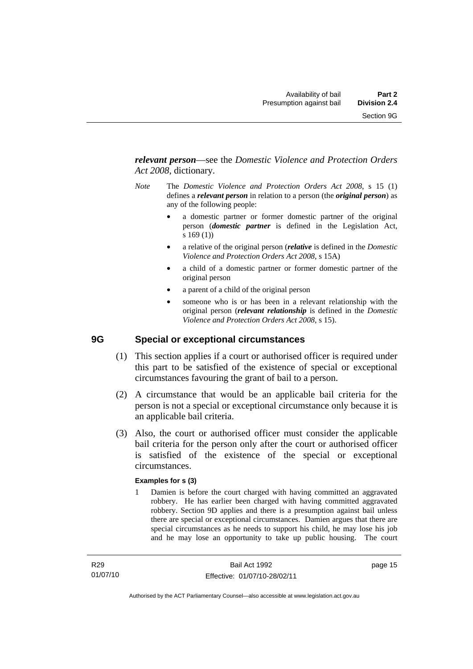<span id="page-20-0"></span>*relevant person*—see the *Domestic Violence and Protection Orders Act 2008*, dictionary.

- *Note* The *Domestic Violence and Protection Orders Act 2008*, s 15 (1) defines a *relevant person* in relation to a person (the *original person*) as any of the following people:
	- a domestic partner or former domestic partner of the original person (*domestic partner* is defined in the Legislation Act, s 169 (1))
	- a relative of the original person (*relative* is defined in the *Domestic Violence and Protection Orders Act 2008*, s 15A)
	- a child of a domestic partner or former domestic partner of the original person
	- a parent of a child of the original person
	- someone who is or has been in a relevant relationship with the original person (*relevant relationship* is defined in the *Domestic Violence and Protection Orders Act 2008*, s 15).

## **9G Special or exceptional circumstances**

- (1) This section applies if a court or authorised officer is required under this part to be satisfied of the existence of special or exceptional circumstances favouring the grant of bail to a person.
- (2) A circumstance that would be an applicable bail criteria for the person is not a special or exceptional circumstance only because it is an applicable bail criteria.
- (3) Also, the court or authorised officer must consider the applicable bail criteria for the person only after the court or authorised officer is satisfied of the existence of the special or exceptional circumstances.

## **Examples for s (3)**

1 Damien is before the court charged with having committed an aggravated robbery. He has earlier been charged with having committed aggravated robbery. Section 9D applies and there is a presumption against bail unless there are special or exceptional circumstances. Damien argues that there are special circumstances as he needs to support his child, he may lose his job and he may lose an opportunity to take up public housing. The court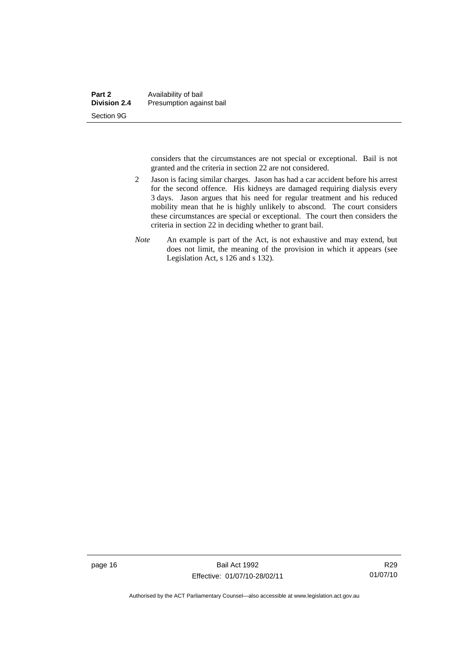considers that the circumstances are not special or exceptional. Bail is not granted and the criteria in section 22 are not considered.

- 2 Jason is facing similar charges. Jason has had a car accident before his arrest for the second offence. His kidneys are damaged requiring dialysis every 3 days. Jason argues that his need for regular treatment and his reduced mobility mean that he is highly unlikely to abscond. The court considers these circumstances are special or exceptional. The court then considers the criteria in section 22 in deciding whether to grant bail.
- *Note* An example is part of the Act, is not exhaustive and may extend, but does not limit, the meaning of the provision in which it appears (see Legislation Act, s 126 and s 132).

page 16 Bail Act 1992 Effective: 01/07/10-28/02/11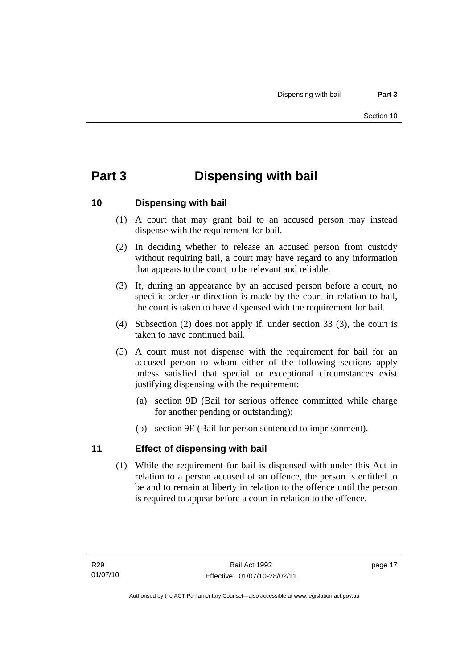# <span id="page-22-0"></span>**Part 3 Dispensing with bail**

## **10 Dispensing with bail**

- (1) A court that may grant bail to an accused person may instead dispense with the requirement for bail.
- (2) In deciding whether to release an accused person from custody without requiring bail, a court may have regard to any information that appears to the court to be relevant and reliable.
- (3) If, during an appearance by an accused person before a court, no specific order or direction is made by the court in relation to bail, the court is taken to have dispensed with the requirement for bail.
- (4) Subsection (2) does not apply if, under section 33 (3), the court is taken to have continued bail.
- (5) A court must not dispense with the requirement for bail for an accused person to whom either of the following sections apply unless satisfied that special or exceptional circumstances exist justifying dispensing with the requirement:
	- (a) section 9D (Bail for serious offence committed while charge for another pending or outstanding);
	- (b) section 9E (Bail for person sentenced to imprisonment).

## **11 Effect of dispensing with bail**

 (1) While the requirement for bail is dispensed with under this Act in relation to a person accused of an offence, the person is entitled to be and to remain at liberty in relation to the offence until the person is required to appear before a court in relation to the offence.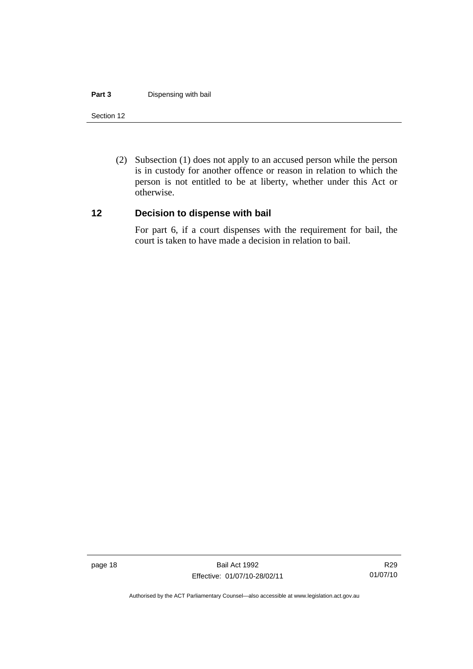#### <span id="page-23-0"></span>**Part 3 Dispensing with bail**

#### Section 12

 (2) Subsection (1) does not apply to an accused person while the person is in custody for another offence or reason in relation to which the person is not entitled to be at liberty, whether under this Act or otherwise.

## **12 Decision to dispense with bail**

For part 6, if a court dispenses with the requirement for bail, the court is taken to have made a decision in relation to bail.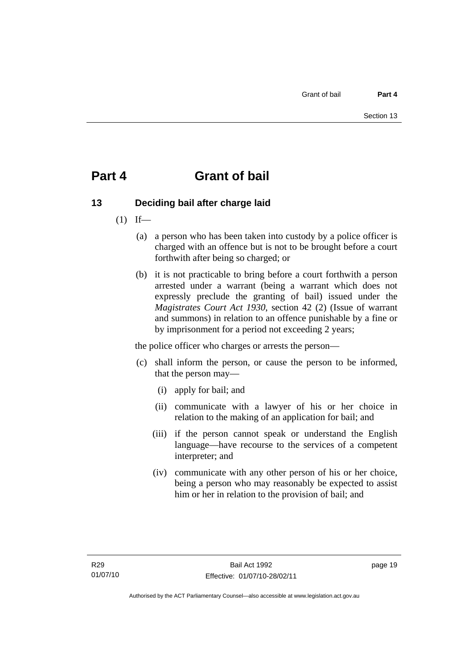# <span id="page-24-0"></span>**Part 4 Grant of bail**

# **13 Deciding bail after charge laid**

- $(1)$  If—
	- (a) a person who has been taken into custody by a police officer is charged with an offence but is not to be brought before a court forthwith after being so charged; or
	- (b) it is not practicable to bring before a court forthwith a person arrested under a warrant (being a warrant which does not expressly preclude the granting of bail) issued under the *Magistrates Court Act 1930*, section 42 (2) (Issue of warrant and summons) in relation to an offence punishable by a fine or by imprisonment for a period not exceeding 2 years;

the police officer who charges or arrests the person—

- (c) shall inform the person, or cause the person to be informed, that the person may—
	- (i) apply for bail; and
	- (ii) communicate with a lawyer of his or her choice in relation to the making of an application for bail; and
	- (iii) if the person cannot speak or understand the English language—have recourse to the services of a competent interpreter; and
	- (iv) communicate with any other person of his or her choice, being a person who may reasonably be expected to assist him or her in relation to the provision of bail; and

page 19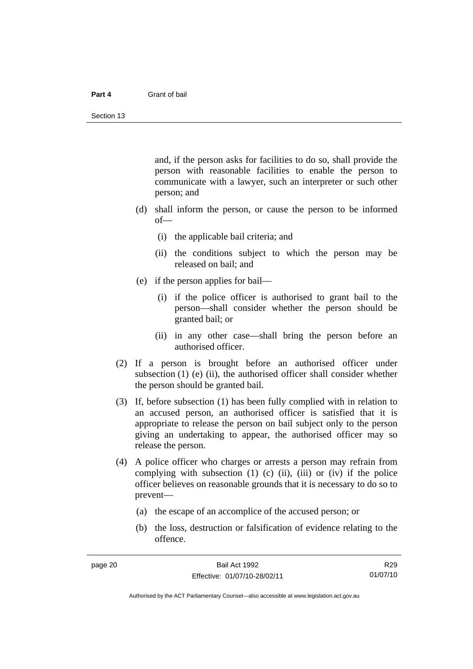#### **Part 4** Grant of bail

and, if the person asks for facilities to do so, shall provide the person with reasonable facilities to enable the person to communicate with a lawyer, such an interpreter or such other person; and

- (d) shall inform the person, or cause the person to be informed of—
	- (i) the applicable bail criteria; and
	- (ii) the conditions subject to which the person may be released on bail; and
- (e) if the person applies for bail—
	- (i) if the police officer is authorised to grant bail to the person—shall consider whether the person should be granted bail; or
	- (ii) in any other case—shall bring the person before an authorised officer.
- (2) If a person is brought before an authorised officer under subsection  $(1)$  (e)  $(ii)$ , the authorised officer shall consider whether the person should be granted bail.
- (3) If, before subsection (1) has been fully complied with in relation to an accused person, an authorised officer is satisfied that it is appropriate to release the person on bail subject only to the person giving an undertaking to appear, the authorised officer may so release the person.
- (4) A police officer who charges or arrests a person may refrain from complying with subsection  $(1)$   $(c)$   $(ii)$ ,  $(iii)$  or  $(iv)$  if the police officer believes on reasonable grounds that it is necessary to do so to prevent—
	- (a) the escape of an accomplice of the accused person; or
	- (b) the loss, destruction or falsification of evidence relating to the offence.

R29 01/07/10

Authorised by the ACT Parliamentary Counsel—also accessible at www.legislation.act.gov.au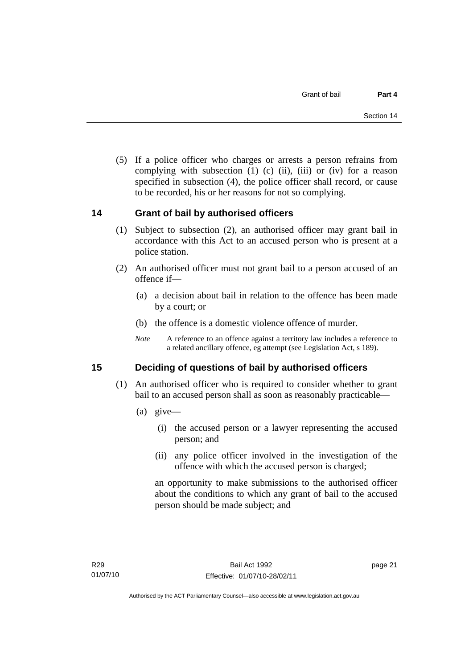<span id="page-26-0"></span> (5) If a police officer who charges or arrests a person refrains from complying with subsection  $(1)$   $(c)$   $(ii)$ ,  $(iii)$  or  $(iv)$  for a reason specified in subsection (4), the police officer shall record, or cause to be recorded, his or her reasons for not so complying.

## **14 Grant of bail by authorised officers**

- (1) Subject to subsection (2), an authorised officer may grant bail in accordance with this Act to an accused person who is present at a police station.
- (2) An authorised officer must not grant bail to a person accused of an offence if—
	- (a) a decision about bail in relation to the offence has been made by a court; or
	- (b) the offence is a domestic violence offence of murder.
	- *Note* A reference to an offence against a territory law includes a reference to a related ancillary offence, eg attempt (see Legislation Act, s 189).

## **15 Deciding of questions of bail by authorised officers**

- (1) An authorised officer who is required to consider whether to grant bail to an accused person shall as soon as reasonably practicable—
	- (a) give—
		- (i) the accused person or a lawyer representing the accused person; and
		- (ii) any police officer involved in the investigation of the offence with which the accused person is charged;

an opportunity to make submissions to the authorised officer about the conditions to which any grant of bail to the accused person should be made subject; and

page 21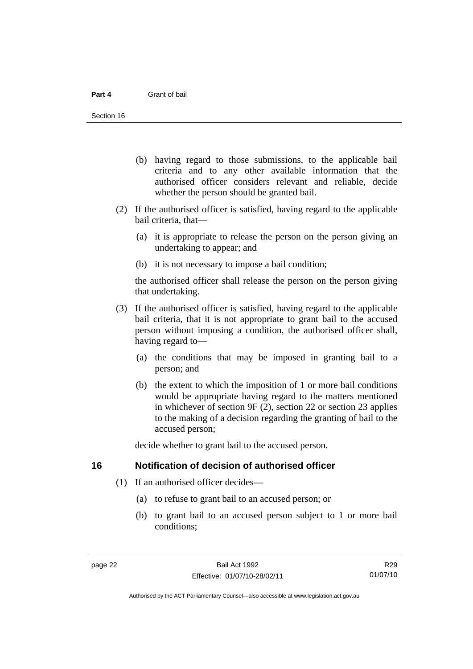- <span id="page-27-0"></span> (b) having regard to those submissions, to the applicable bail criteria and to any other available information that the authorised officer considers relevant and reliable, decide whether the person should be granted bail.
- (2) If the authorised officer is satisfied, having regard to the applicable bail criteria, that—
	- (a) it is appropriate to release the person on the person giving an undertaking to appear; and
	- (b) it is not necessary to impose a bail condition;

the authorised officer shall release the person on the person giving that undertaking.

- (3) If the authorised officer is satisfied, having regard to the applicable bail criteria, that it is not appropriate to grant bail to the accused person without imposing a condition, the authorised officer shall, having regard to—
	- (a) the conditions that may be imposed in granting bail to a person; and
	- (b) the extent to which the imposition of 1 or more bail conditions would be appropriate having regard to the matters mentioned in whichever of section 9F (2), section 22 or section 23 applies to the making of a decision regarding the granting of bail to the accused person;

decide whether to grant bail to the accused person.

## **16 Notification of decision of authorised officer**

- (1) If an authorised officer decides—
	- (a) to refuse to grant bail to an accused person; or
	- (b) to grant bail to an accused person subject to 1 or more bail conditions;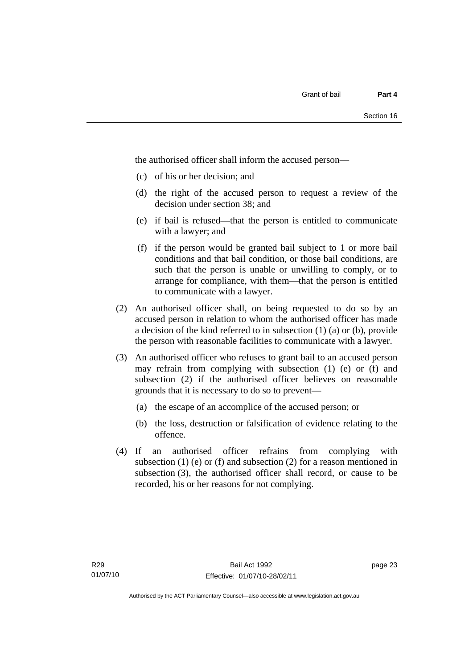the authorised officer shall inform the accused person—

- (c) of his or her decision; and
- (d) the right of the accused person to request a review of the decision under section 38; and
- (e) if bail is refused—that the person is entitled to communicate with a lawyer; and
- (f) if the person would be granted bail subject to 1 or more bail conditions and that bail condition, or those bail conditions, are such that the person is unable or unwilling to comply, or to arrange for compliance, with them—that the person is entitled to communicate with a lawyer.
- (2) An authorised officer shall, on being requested to do so by an accused person in relation to whom the authorised officer has made a decision of the kind referred to in subsection (1) (a) or (b), provide the person with reasonable facilities to communicate with a lawyer.
- (3) An authorised officer who refuses to grant bail to an accused person may refrain from complying with subsection (1) (e) or (f) and subsection (2) if the authorised officer believes on reasonable grounds that it is necessary to do so to prevent—
	- (a) the escape of an accomplice of the accused person; or
	- (b) the loss, destruction or falsification of evidence relating to the offence.
- (4) If an authorised officer refrains from complying with subsection  $(1)$  (e) or  $(f)$  and subsection  $(2)$  for a reason mentioned in subsection (3), the authorised officer shall record, or cause to be recorded, his or her reasons for not complying.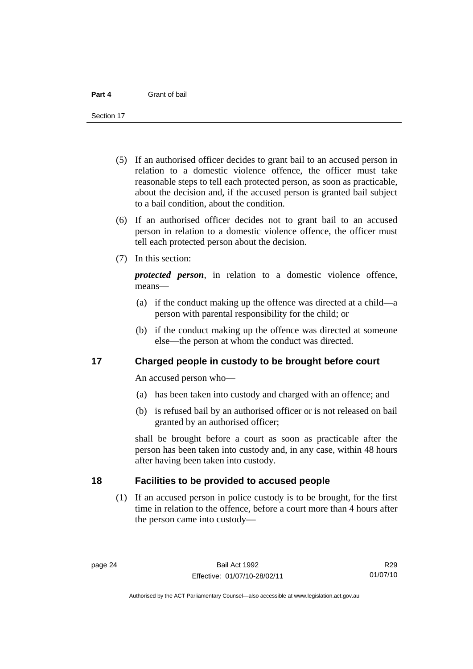<span id="page-29-0"></span>Section 17

- (5) If an authorised officer decides to grant bail to an accused person in relation to a domestic violence offence, the officer must take reasonable steps to tell each protected person, as soon as practicable, about the decision and, if the accused person is granted bail subject to a bail condition, about the condition.
- (6) If an authorised officer decides not to grant bail to an accused person in relation to a domestic violence offence, the officer must tell each protected person about the decision.
- (7) In this section:

*protected person*, in relation to a domestic violence offence, means—

- (a) if the conduct making up the offence was directed at a child—a person with parental responsibility for the child; or
- (b) if the conduct making up the offence was directed at someone else—the person at whom the conduct was directed.

## **17 Charged people in custody to be brought before court**

An accused person who—

- (a) has been taken into custody and charged with an offence; and
- (b) is refused bail by an authorised officer or is not released on bail granted by an authorised officer;

shall be brought before a court as soon as practicable after the person has been taken into custody and, in any case, within 48 hours after having been taken into custody.

## **18 Facilities to be provided to accused people**

 (1) If an accused person in police custody is to be brought, for the first time in relation to the offence, before a court more than 4 hours after the person came into custody—

R29 01/07/10

Authorised by the ACT Parliamentary Counsel—also accessible at www.legislation.act.gov.au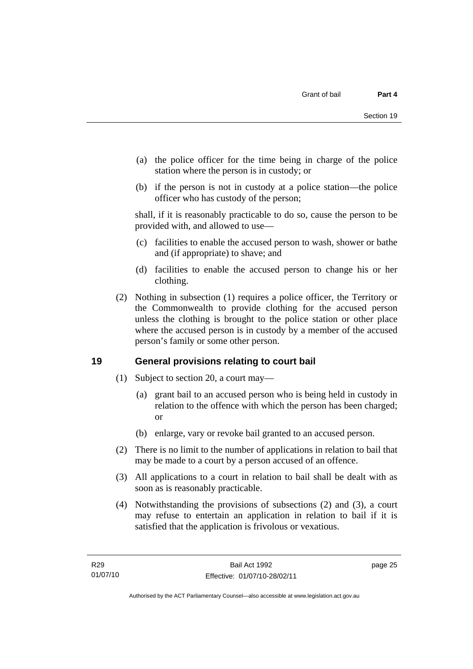- <span id="page-30-0"></span> (a) the police officer for the time being in charge of the police station where the person is in custody; or
- (b) if the person is not in custody at a police station—the police officer who has custody of the person;

shall, if it is reasonably practicable to do so, cause the person to be provided with, and allowed to use—

- (c) facilities to enable the accused person to wash, shower or bathe and (if appropriate) to shave; and
- (d) facilities to enable the accused person to change his or her clothing.
- (2) Nothing in subsection (1) requires a police officer, the Territory or the Commonwealth to provide clothing for the accused person unless the clothing is brought to the police station or other place where the accused person is in custody by a member of the accused person's family or some other person.

## **19 General provisions relating to court bail**

- (1) Subject to section 20, a court may—
	- (a) grant bail to an accused person who is being held in custody in relation to the offence with which the person has been charged; or
	- (b) enlarge, vary or revoke bail granted to an accused person.
- (2) There is no limit to the number of applications in relation to bail that may be made to a court by a person accused of an offence.
- (3) All applications to a court in relation to bail shall be dealt with as soon as is reasonably practicable.
- (4) Notwithstanding the provisions of subsections (2) and (3), a court may refuse to entertain an application in relation to bail if it is satisfied that the application is frivolous or vexatious.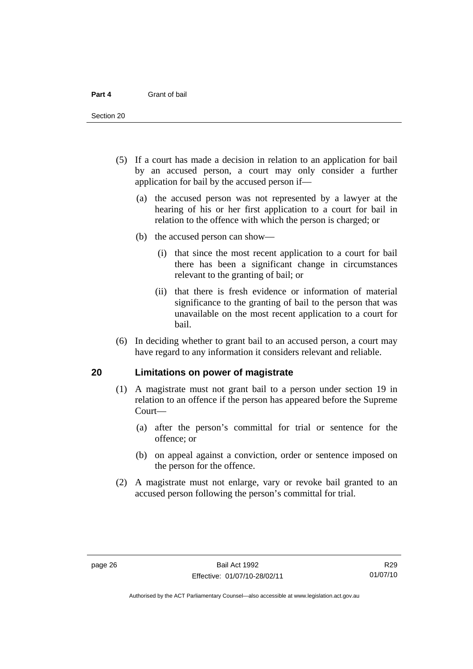<span id="page-31-0"></span>Section 20

- (5) If a court has made a decision in relation to an application for bail by an accused person, a court may only consider a further application for bail by the accused person if—
	- (a) the accused person was not represented by a lawyer at the hearing of his or her first application to a court for bail in relation to the offence with which the person is charged; or
	- (b) the accused person can show—
		- (i) that since the most recent application to a court for bail there has been a significant change in circumstances relevant to the granting of bail; or
		- (ii) that there is fresh evidence or information of material significance to the granting of bail to the person that was unavailable on the most recent application to a court for bail.
- (6) In deciding whether to grant bail to an accused person, a court may have regard to any information it considers relevant and reliable.

## **20 Limitations on power of magistrate**

- (1) A magistrate must not grant bail to a person under section 19 in relation to an offence if the person has appeared before the Supreme Court—
	- (a) after the person's committal for trial or sentence for the offence; or
	- (b) on appeal against a conviction, order or sentence imposed on the person for the offence.
- (2) A magistrate must not enlarge, vary or revoke bail granted to an accused person following the person's committal for trial.

R29 01/07/10

Authorised by the ACT Parliamentary Counsel—also accessible at www.legislation.act.gov.au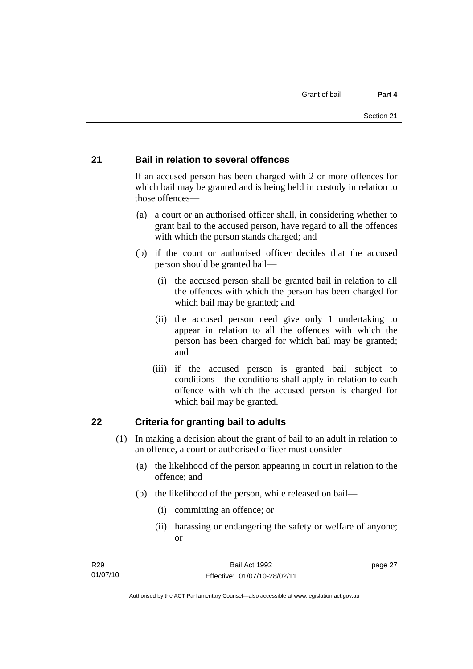## <span id="page-32-0"></span>**21 Bail in relation to several offences**

If an accused person has been charged with 2 or more offences for which bail may be granted and is being held in custody in relation to those offences—

- (a) a court or an authorised officer shall, in considering whether to grant bail to the accused person, have regard to all the offences with which the person stands charged; and
- (b) if the court or authorised officer decides that the accused person should be granted bail—
	- (i) the accused person shall be granted bail in relation to all the offences with which the person has been charged for which bail may be granted; and
	- (ii) the accused person need give only 1 undertaking to appear in relation to all the offences with which the person has been charged for which bail may be granted; and
	- (iii) if the accused person is granted bail subject to conditions—the conditions shall apply in relation to each offence with which the accused person is charged for which bail may be granted.

## **22 Criteria for granting bail to adults**

- (1) In making a decision about the grant of bail to an adult in relation to an offence, a court or authorised officer must consider—
	- (a) the likelihood of the person appearing in court in relation to the offence; and
	- (b) the likelihood of the person, while released on bail—
		- (i) committing an offence; or
		- (ii) harassing or endangering the safety or welfare of anyone; or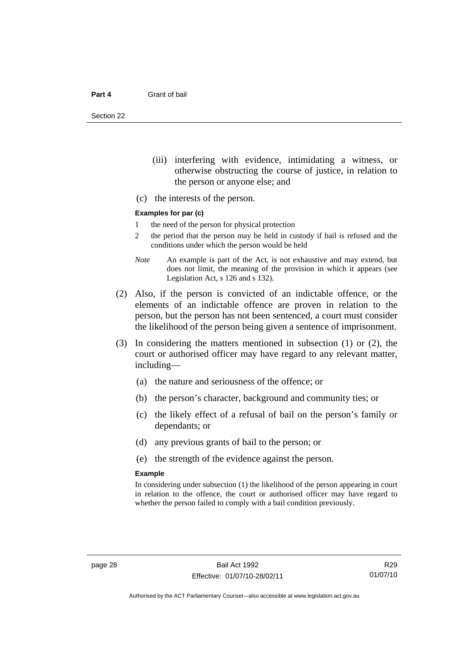Section 22

- (iii) interfering with evidence, intimidating a witness, or otherwise obstructing the course of justice, in relation to the person or anyone else; and
- (c) the interests of the person.

## **Examples for par (c)**

- 1 the need of the person for physical protection
- 2 the period that the person may be held in custody if bail is refused and the conditions under which the person would be held
- *Note* An example is part of the Act, is not exhaustive and may extend, but does not limit, the meaning of the provision in which it appears (see Legislation Act, s 126 and s 132).
- (2) Also, if the person is convicted of an indictable offence, or the elements of an indictable offence are proven in relation to the person, but the person has not been sentenced, a court must consider the likelihood of the person being given a sentence of imprisonment.
- (3) In considering the matters mentioned in subsection (1) or (2), the court or authorised officer may have regard to any relevant matter, including—
	- (a) the nature and seriousness of the offence; or
	- (b) the person's character, background and community ties; or
	- (c) the likely effect of a refusal of bail on the person's family or dependants; or
	- (d) any previous grants of bail to the person; or
	- (e) the strength of the evidence against the person.

#### **Example**

In considering under subsection (1) the likelihood of the person appearing in court in relation to the offence, the court or authorised officer may have regard to whether the person failed to comply with a bail condition previously.

R29 01/07/10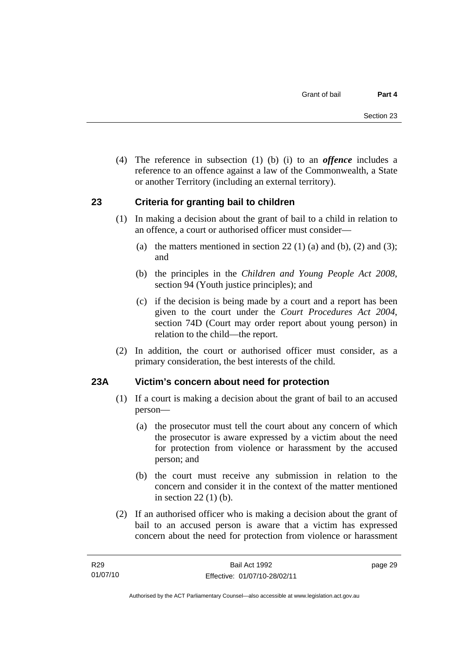<span id="page-34-0"></span> (4) The reference in subsection (1) (b) (i) to an *offence* includes a reference to an offence against a law of the Commonwealth, a State or another Territory (including an external territory).

## **23 Criteria for granting bail to children**

- (1) In making a decision about the grant of bail to a child in relation to an offence, a court or authorised officer must consider—
	- (a) the matters mentioned in section 22 (1) (a) and (b), (2) and (3); and
	- (b) the principles in the *Children and Young People Act 2008*, section 94 (Youth justice principles); and
	- (c) if the decision is being made by a court and a report has been given to the court under the *Court Procedures Act 2004*, section 74D (Court may order report about young person) in relation to the child—the report.
- (2) In addition, the court or authorised officer must consider, as a primary consideration, the best interests of the child.

## **23A Victim's concern about need for protection**

- (1) If a court is making a decision about the grant of bail to an accused person—
	- (a) the prosecutor must tell the court about any concern of which the prosecutor is aware expressed by a victim about the need for protection from violence or harassment by the accused person; and
	- (b) the court must receive any submission in relation to the concern and consider it in the context of the matter mentioned in section 22 (1) (b).
- (2) If an authorised officer who is making a decision about the grant of bail to an accused person is aware that a victim has expressed concern about the need for protection from violence or harassment

page 29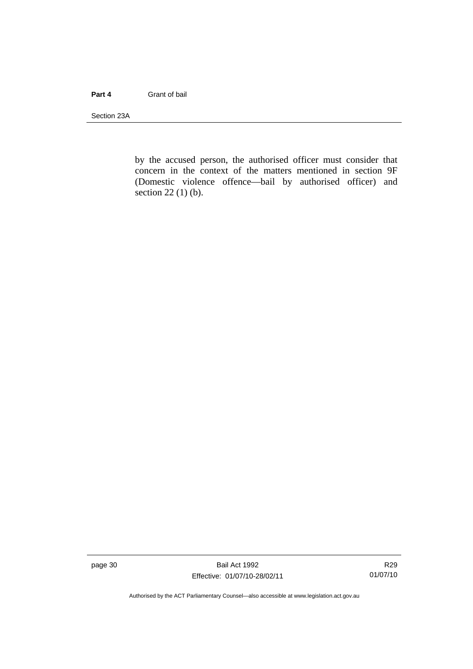### **Part 4** Grant of bail

Section 23A

by the accused person, the authorised officer must consider that concern in the context of the matters mentioned in section 9F (Domestic violence offence—bail by authorised officer) and section 22 (1) (b).

page 30 Bail Act 1992 Effective: 01/07/10-28/02/11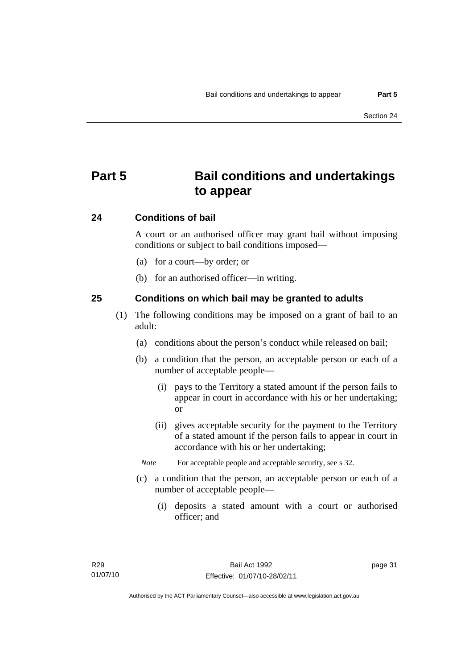# **Part 5 Bail conditions and undertakings to appear**

# **24 Conditions of bail**

A court or an authorised officer may grant bail without imposing conditions or subject to bail conditions imposed—

- (a) for a court—by order; or
- (b) for an authorised officer—in writing.

# **25 Conditions on which bail may be granted to adults**

- (1) The following conditions may be imposed on a grant of bail to an adult:
	- (a) conditions about the person's conduct while released on bail;
	- (b) a condition that the person, an acceptable person or each of a number of acceptable people—
		- (i) pays to the Territory a stated amount if the person fails to appear in court in accordance with his or her undertaking; or
		- (ii) gives acceptable security for the payment to the Territory of a stated amount if the person fails to appear in court in accordance with his or her undertaking;
		- *Note* For acceptable people and acceptable security, see s 32.
	- (c) a condition that the person, an acceptable person or each of a number of acceptable people—
		- (i) deposits a stated amount with a court or authorised officer; and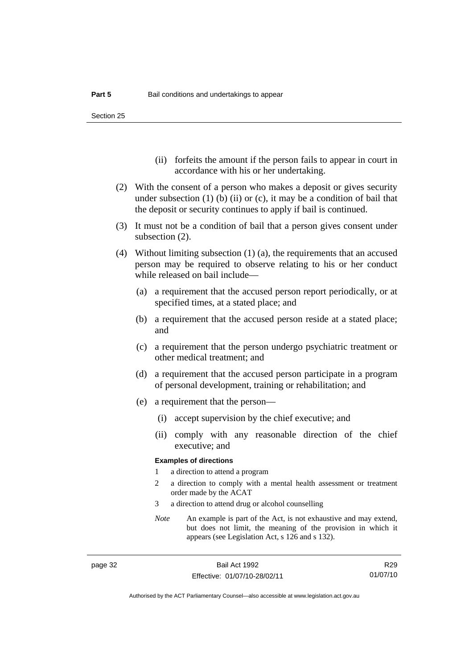Section 25

- (ii) forfeits the amount if the person fails to appear in court in accordance with his or her undertaking.
- (2) With the consent of a person who makes a deposit or gives security under subsection  $(1)$  (b)  $(ii)$  or  $(c)$ , it may be a condition of bail that the deposit or security continues to apply if bail is continued.
- (3) It must not be a condition of bail that a person gives consent under subsection (2).
- (4) Without limiting subsection (1) (a), the requirements that an accused person may be required to observe relating to his or her conduct while released on bail include—
	- (a) a requirement that the accused person report periodically, or at specified times, at a stated place; and
	- (b) a requirement that the accused person reside at a stated place; and
	- (c) a requirement that the person undergo psychiatric treatment or other medical treatment; and
	- (d) a requirement that the accused person participate in a program of personal development, training or rehabilitation; and
	- (e) a requirement that the person—
		- (i) accept supervision by the chief executive; and
		- (ii) comply with any reasonable direction of the chief executive; and

#### **Examples of directions**

- 1 a direction to attend a program
- 2 a direction to comply with a mental health assessment or treatment order made by the ACAT
- 3 a direction to attend drug or alcohol counselling
- *Note* An example is part of the Act, is not exhaustive and may extend, but does not limit, the meaning of the provision in which it appears (see Legislation Act, s 126 and s 132).

R29 01/07/10

Authorised by the ACT Parliamentary Counsel—also accessible at www.legislation.act.gov.au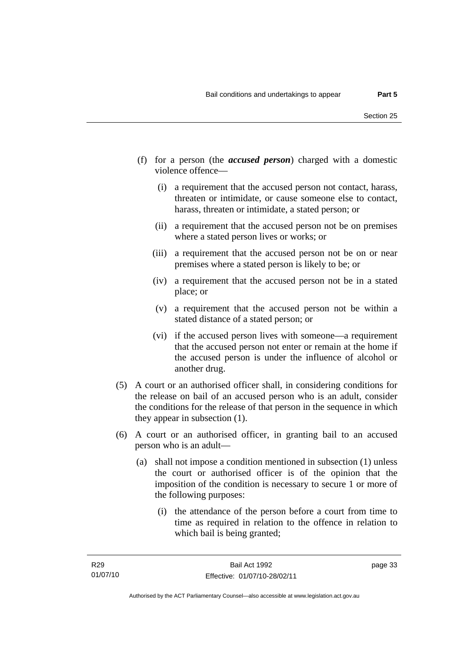- (f) for a person (the *accused person*) charged with a domestic violence offence—
	- (i) a requirement that the accused person not contact, harass, threaten or intimidate, or cause someone else to contact, harass, threaten or intimidate, a stated person; or
	- (ii) a requirement that the accused person not be on premises where a stated person lives or works; or
	- (iii) a requirement that the accused person not be on or near premises where a stated person is likely to be; or
	- (iv) a requirement that the accused person not be in a stated place; or
	- (v) a requirement that the accused person not be within a stated distance of a stated person; or
	- (vi) if the accused person lives with someone—a requirement that the accused person not enter or remain at the home if the accused person is under the influence of alcohol or another drug.
- (5) A court or an authorised officer shall, in considering conditions for the release on bail of an accused person who is an adult, consider the conditions for the release of that person in the sequence in which they appear in subsection (1).
- (6) A court or an authorised officer, in granting bail to an accused person who is an adult—
	- (a) shall not impose a condition mentioned in subsection (1) unless the court or authorised officer is of the opinion that the imposition of the condition is necessary to secure 1 or more of the following purposes:
		- (i) the attendance of the person before a court from time to time as required in relation to the offence in relation to which bail is being granted;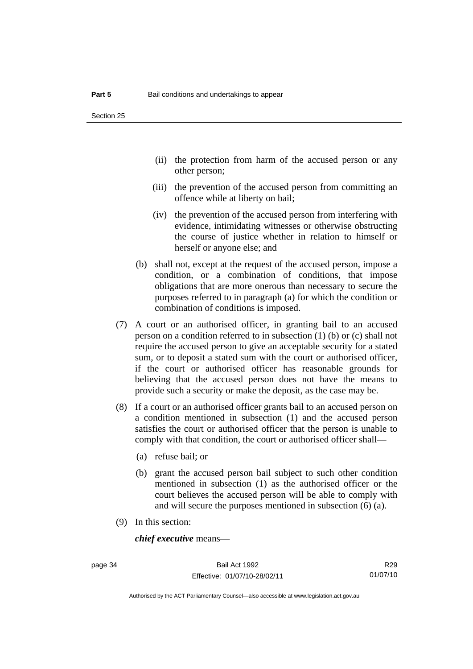- (ii) the protection from harm of the accused person or any other person;
- (iii) the prevention of the accused person from committing an offence while at liberty on bail;
- (iv) the prevention of the accused person from interfering with evidence, intimidating witnesses or otherwise obstructing the course of justice whether in relation to himself or herself or anyone else; and
- (b) shall not, except at the request of the accused person, impose a condition, or a combination of conditions, that impose obligations that are more onerous than necessary to secure the purposes referred to in paragraph (a) for which the condition or combination of conditions is imposed.
- (7) A court or an authorised officer, in granting bail to an accused person on a condition referred to in subsection (1) (b) or (c) shall not require the accused person to give an acceptable security for a stated sum, or to deposit a stated sum with the court or authorised officer, if the court or authorised officer has reasonable grounds for believing that the accused person does not have the means to provide such a security or make the deposit, as the case may be.
- (8) If a court or an authorised officer grants bail to an accused person on a condition mentioned in subsection (1) and the accused person satisfies the court or authorised officer that the person is unable to comply with that condition, the court or authorised officer shall—
	- (a) refuse bail; or
	- (b) grant the accused person bail subject to such other condition mentioned in subsection (1) as the authorised officer or the court believes the accused person will be able to comply with and will secure the purposes mentioned in subsection (6) (a).
- (9) In this section:

*chief executive* means—

R29 01/07/10

Authorised by the ACT Parliamentary Counsel—also accessible at www.legislation.act.gov.au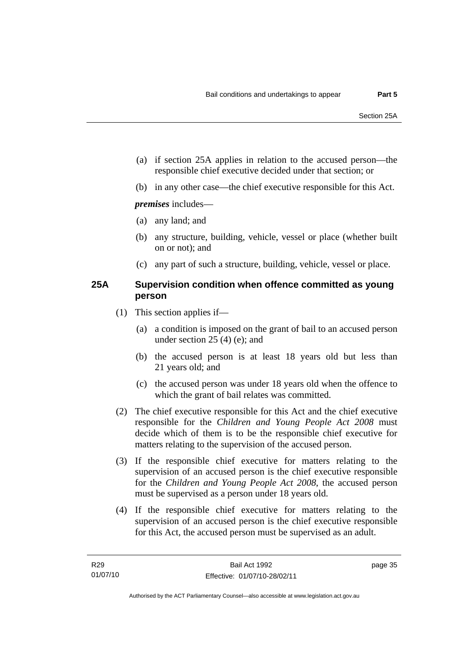- (a) if section 25A applies in relation to the accused person—the responsible chief executive decided under that section; or
- (b) in any other case—the chief executive responsible for this Act.

*premises* includes—

- (a) any land; and
- (b) any structure, building, vehicle, vessel or place (whether built on or not); and
- (c) any part of such a structure, building, vehicle, vessel or place.

# **25A Supervision condition when offence committed as young person**

- (1) This section applies if—
	- (a) a condition is imposed on the grant of bail to an accused person under section 25 (4) (e); and
	- (b) the accused person is at least 18 years old but less than 21 years old; and
	- (c) the accused person was under 18 years old when the offence to which the grant of bail relates was committed.
- (2) The chief executive responsible for this Act and the chief executive responsible for the *Children and Young People Act 2008* must decide which of them is to be the responsible chief executive for matters relating to the supervision of the accused person.
- (3) If the responsible chief executive for matters relating to the supervision of an accused person is the chief executive responsible for the *Children and Young People Act 2008*, the accused person must be supervised as a person under 18 years old.
- (4) If the responsible chief executive for matters relating to the supervision of an accused person is the chief executive responsible for this Act, the accused person must be supervised as an adult.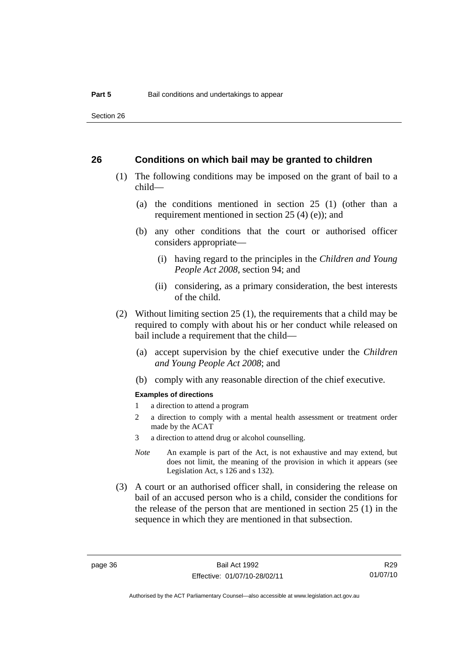Section 26

#### **26 Conditions on which bail may be granted to children**

- (1) The following conditions may be imposed on the grant of bail to a child—
	- (a) the conditions mentioned in section 25 (1) (other than a requirement mentioned in section 25 (4) (e)); and
	- (b) any other conditions that the court or authorised officer considers appropriate—
		- (i) having regard to the principles in the *Children and Young People Act 2008*, section 94; and
		- (ii) considering, as a primary consideration, the best interests of the child.
- (2) Without limiting section 25 (1), the requirements that a child may be required to comply with about his or her conduct while released on bail include a requirement that the child—
	- (a) accept supervision by the chief executive under the *Children and Young People Act 2008*; and
	- (b) comply with any reasonable direction of the chief executive.

#### **Examples of directions**

- 1 a direction to attend a program
- 2 a direction to comply with a mental health assessment or treatment order made by the ACAT
- 3 a direction to attend drug or alcohol counselling.
- *Note* An example is part of the Act, is not exhaustive and may extend, but does not limit, the meaning of the provision in which it appears (see Legislation Act, s 126 and s 132).
- (3) A court or an authorised officer shall, in considering the release on bail of an accused person who is a child, consider the conditions for the release of the person that are mentioned in section 25 (1) in the sequence in which they are mentioned in that subsection.

R29 01/07/10

Authorised by the ACT Parliamentary Counsel—also accessible at www.legislation.act.gov.au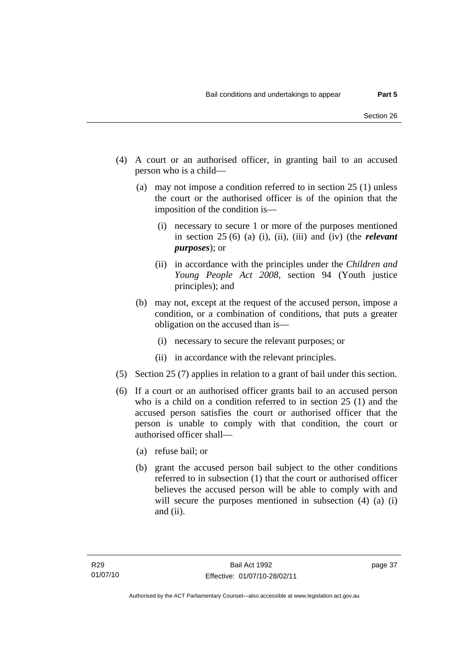- (4) A court or an authorised officer, in granting bail to an accused person who is a child—
	- (a) may not impose a condition referred to in section 25 (1) unless the court or the authorised officer is of the opinion that the imposition of the condition is—
		- (i) necessary to secure 1 or more of the purposes mentioned in section 25 (6) (a) (i), (ii), (iii) and (iv) (the *relevant purposes*); or
		- (ii) in accordance with the principles under the *Children and Young People Act 2008*, section 94 (Youth justice principles); and
	- (b) may not, except at the request of the accused person, impose a condition, or a combination of conditions, that puts a greater obligation on the accused than is—
		- (i) necessary to secure the relevant purposes; or
		- (ii) in accordance with the relevant principles.
- (5) Section 25 (7) applies in relation to a grant of bail under this section.
- (6) If a court or an authorised officer grants bail to an accused person who is a child on a condition referred to in section 25 (1) and the accused person satisfies the court or authorised officer that the person is unable to comply with that condition, the court or authorised officer shall—
	- (a) refuse bail; or
	- (b) grant the accused person bail subject to the other conditions referred to in subsection (1) that the court or authorised officer believes the accused person will be able to comply with and will secure the purposes mentioned in subsection (4) (a) (i) and (ii).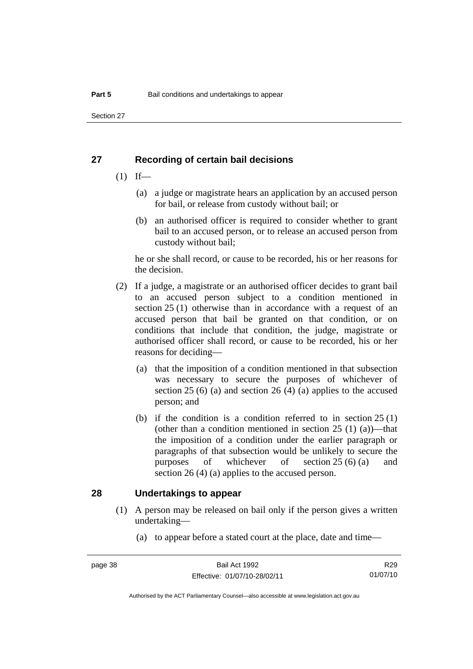Section 27

# **27 Recording of certain bail decisions**

- $(1)$  If—
	- (a) a judge or magistrate hears an application by an accused person for bail, or release from custody without bail; or
	- (b) an authorised officer is required to consider whether to grant bail to an accused person, or to release an accused person from custody without bail;

he or she shall record, or cause to be recorded, his or her reasons for the decision.

- (2) If a judge, a magistrate or an authorised officer decides to grant bail to an accused person subject to a condition mentioned in section 25 (1) otherwise than in accordance with a request of an accused person that bail be granted on that condition, or on conditions that include that condition, the judge, magistrate or authorised officer shall record, or cause to be recorded, his or her reasons for deciding—
	- (a) that the imposition of a condition mentioned in that subsection was necessary to secure the purposes of whichever of section 25 (6) (a) and section 26 (4) (a) applies to the accused person; and
	- (b) if the condition is a condition referred to in section 25 (1) (other than a condition mentioned in section  $25(1)(a)$ )—that the imposition of a condition under the earlier paragraph or paragraphs of that subsection would be unlikely to secure the purposes of whichever of section 25 (6) (a) and section 26 (4) (a) applies to the accused person.

### **28 Undertakings to appear**

- (1) A person may be released on bail only if the person gives a written undertaking—
	- (a) to appear before a stated court at the place, date and time—

R29 01/07/10

Authorised by the ACT Parliamentary Counsel—also accessible at www.legislation.act.gov.au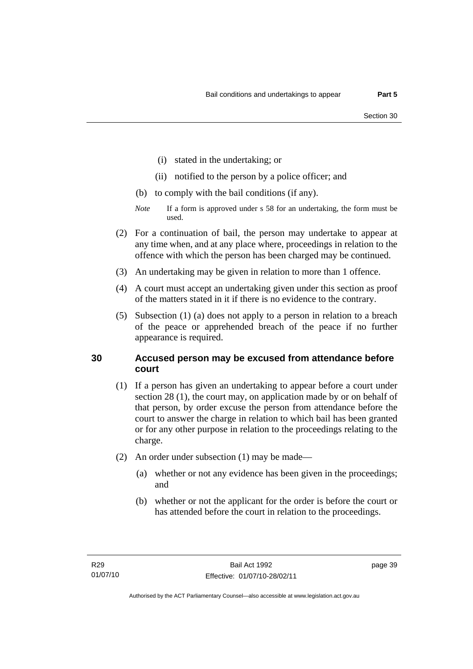- (i) stated in the undertaking; or
- (ii) notified to the person by a police officer; and
- (b) to comply with the bail conditions (if any).
- *Note* If a form is approved under s 58 for an undertaking, the form must be used.
- (2) For a continuation of bail, the person may undertake to appear at any time when, and at any place where, proceedings in relation to the offence with which the person has been charged may be continued.
- (3) An undertaking may be given in relation to more than 1 offence.
- (4) A court must accept an undertaking given under this section as proof of the matters stated in it if there is no evidence to the contrary.
- (5) Subsection (1) (a) does not apply to a person in relation to a breach of the peace or apprehended breach of the peace if no further appearance is required.

# **30 Accused person may be excused from attendance before court**

- (1) If a person has given an undertaking to appear before a court under section 28 (1), the court may, on application made by or on behalf of that person, by order excuse the person from attendance before the court to answer the charge in relation to which bail has been granted or for any other purpose in relation to the proceedings relating to the charge.
- (2) An order under subsection (1) may be made—
	- (a) whether or not any evidence has been given in the proceedings; and
	- (b) whether or not the applicant for the order is before the court or has attended before the court in relation to the proceedings.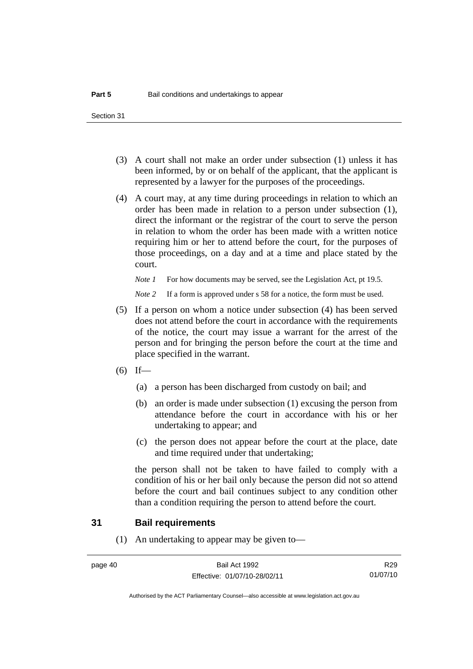Section 31

- (3) A court shall not make an order under subsection (1) unless it has been informed, by or on behalf of the applicant, that the applicant is represented by a lawyer for the purposes of the proceedings.
- (4) A court may, at any time during proceedings in relation to which an order has been made in relation to a person under subsection (1), direct the informant or the registrar of the court to serve the person in relation to whom the order has been made with a written notice requiring him or her to attend before the court, for the purposes of those proceedings, on a day and at a time and place stated by the court.

*Note 1* For how documents may be served, see the Legislation Act, pt 19.5.

*Note* 2 If a form is approved under s 58 for a notice, the form must be used.

- (5) If a person on whom a notice under subsection (4) has been served does not attend before the court in accordance with the requirements of the notice, the court may issue a warrant for the arrest of the person and for bringing the person before the court at the time and place specified in the warrant.
- $(6)$  If—
	- (a) a person has been discharged from custody on bail; and
	- (b) an order is made under subsection (1) excusing the person from attendance before the court in accordance with his or her undertaking to appear; and
	- (c) the person does not appear before the court at the place, date and time required under that undertaking;

the person shall not be taken to have failed to comply with a condition of his or her bail only because the person did not so attend before the court and bail continues subject to any condition other than a condition requiring the person to attend before the court.

### **31 Bail requirements**

(1) An undertaking to appear may be given to—

R29 01/07/10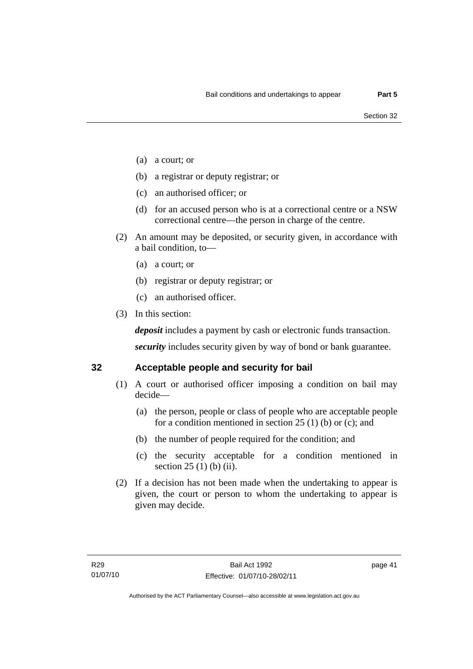- (a) a court; or
- (b) a registrar or deputy registrar; or
- (c) an authorised officer; or
- (d) for an accused person who is at a correctional centre or a NSW correctional centre—the person in charge of the centre.
- (2) An amount may be deposited, or security given, in accordance with a bail condition, to—
	- (a) a court; or
	- (b) registrar or deputy registrar; or
	- (c) an authorised officer.
- (3) In this section:

*deposit* includes a payment by cash or electronic funds transaction.

*security* includes security given by way of bond or bank guarantee.

# **32 Acceptable people and security for bail**

- (1) A court or authorised officer imposing a condition on bail may decide—
	- (a) the person, people or class of people who are acceptable people for a condition mentioned in section 25 (1) (b) or (c); and
	- (b) the number of people required for the condition; and
	- (c) the security acceptable for a condition mentioned in section 25 (1) (b) (ii).
- (2) If a decision has not been made when the undertaking to appear is given, the court or person to whom the undertaking to appear is given may decide.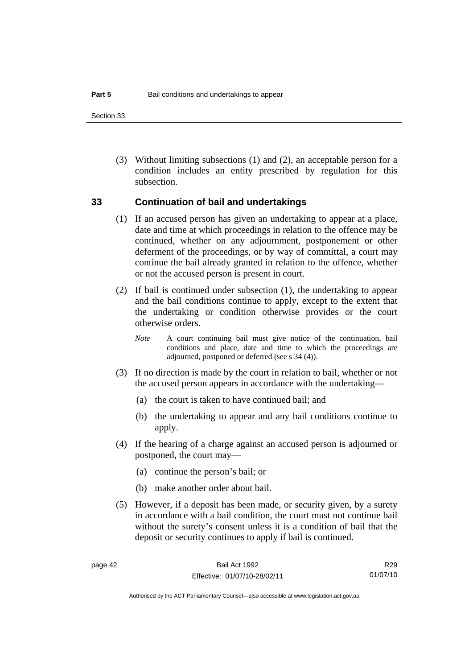Section 33

 (3) Without limiting subsections (1) and (2), an acceptable person for a condition includes an entity prescribed by regulation for this subsection.

### **33 Continuation of bail and undertakings**

- (1) If an accused person has given an undertaking to appear at a place, date and time at which proceedings in relation to the offence may be continued, whether on any adjournment, postponement or other deferment of the proceedings, or by way of committal, a court may continue the bail already granted in relation to the offence, whether or not the accused person is present in court.
- (2) If bail is continued under subsection (1), the undertaking to appear and the bail conditions continue to apply, except to the extent that the undertaking or condition otherwise provides or the court otherwise orders.
	- *Note* A court continuing bail must give notice of the continuation, bail conditions and place, date and time to which the proceedings are adjourned, postponed or deferred (see s 34 (4)).
- (3) If no direction is made by the court in relation to bail, whether or not the accused person appears in accordance with the undertaking—
	- (a) the court is taken to have continued bail; and
	- (b) the undertaking to appear and any bail conditions continue to apply.
- (4) If the hearing of a charge against an accused person is adjourned or postponed, the court may—
	- (a) continue the person's bail; or
	- (b) make another order about bail.
- (5) However, if a deposit has been made, or security given, by a surety in accordance with a bail condition, the court must not continue bail without the surety's consent unless it is a condition of bail that the deposit or security continues to apply if bail is continued.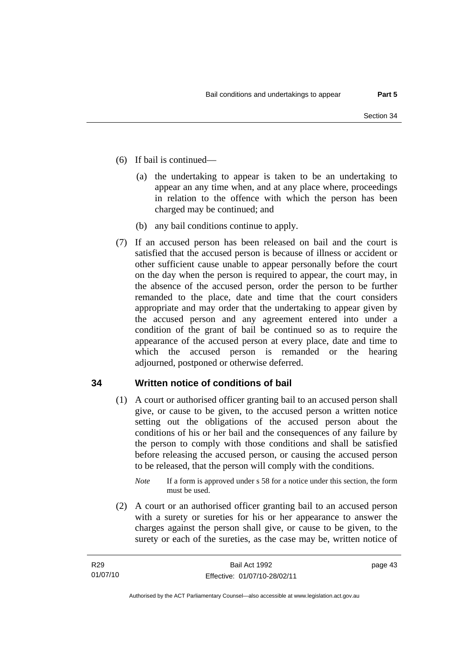- (6) If bail is continued—
	- (a) the undertaking to appear is taken to be an undertaking to appear an any time when, and at any place where, proceedings in relation to the offence with which the person has been charged may be continued; and
	- (b) any bail conditions continue to apply.
- (7) If an accused person has been released on bail and the court is satisfied that the accused person is because of illness or accident or other sufficient cause unable to appear personally before the court on the day when the person is required to appear, the court may, in the absence of the accused person, order the person to be further remanded to the place, date and time that the court considers appropriate and may order that the undertaking to appear given by the accused person and any agreement entered into under a condition of the grant of bail be continued so as to require the appearance of the accused person at every place, date and time to which the accused person is remanded or the hearing adjourned, postponed or otherwise deferred.

# **34 Written notice of conditions of bail**

- (1) A court or authorised officer granting bail to an accused person shall give, or cause to be given, to the accused person a written notice setting out the obligations of the accused person about the conditions of his or her bail and the consequences of any failure by the person to comply with those conditions and shall be satisfied before releasing the accused person, or causing the accused person to be released, that the person will comply with the conditions.
	- *Note* If a form is approved under s 58 for a notice under this section, the form must be used.
- (2) A court or an authorised officer granting bail to an accused person with a surety or sureties for his or her appearance to answer the charges against the person shall give, or cause to be given, to the surety or each of the sureties, as the case may be, written notice of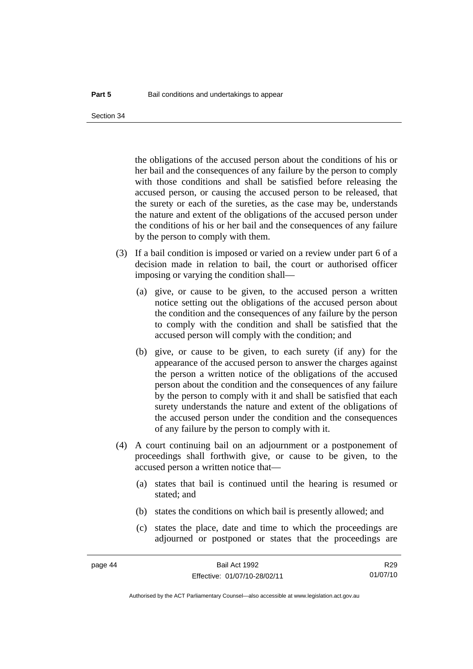the obligations of the accused person about the conditions of his or her bail and the consequences of any failure by the person to comply with those conditions and shall be satisfied before releasing the accused person, or causing the accused person to be released, that the surety or each of the sureties, as the case may be, understands the nature and extent of the obligations of the accused person under the conditions of his or her bail and the consequences of any failure by the person to comply with them.

- (3) If a bail condition is imposed or varied on a review under part 6 of a decision made in relation to bail, the court or authorised officer imposing or varying the condition shall—
	- (a) give, or cause to be given, to the accused person a written notice setting out the obligations of the accused person about the condition and the consequences of any failure by the person to comply with the condition and shall be satisfied that the accused person will comply with the condition; and
	- (b) give, or cause to be given, to each surety (if any) for the appearance of the accused person to answer the charges against the person a written notice of the obligations of the accused person about the condition and the consequences of any failure by the person to comply with it and shall be satisfied that each surety understands the nature and extent of the obligations of the accused person under the condition and the consequences of any failure by the person to comply with it.
- (4) A court continuing bail on an adjournment or a postponement of proceedings shall forthwith give, or cause to be given, to the accused person a written notice that—
	- (a) states that bail is continued until the hearing is resumed or stated; and
	- (b) states the conditions on which bail is presently allowed; and
	- (c) states the place, date and time to which the proceedings are adjourned or postponed or states that the proceedings are

R29 01/07/10

Authorised by the ACT Parliamentary Counsel—also accessible at www.legislation.act.gov.au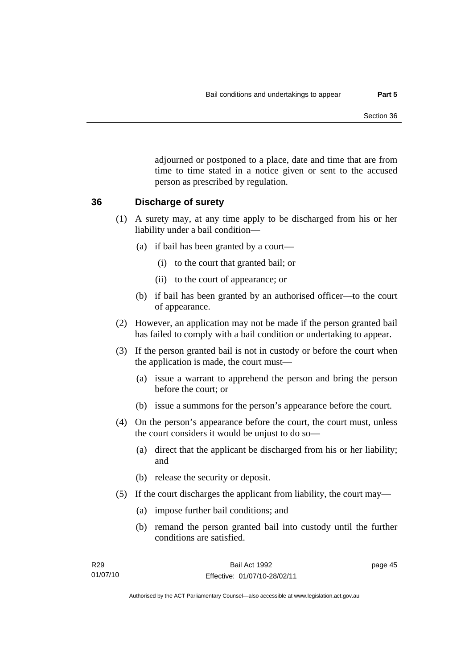adjourned or postponed to a place, date and time that are from time to time stated in a notice given or sent to the accused person as prescribed by regulation.

### **36 Discharge of surety**

- (1) A surety may, at any time apply to be discharged from his or her liability under a bail condition—
	- (a) if bail has been granted by a court—
		- (i) to the court that granted bail; or
		- (ii) to the court of appearance; or
	- (b) if bail has been granted by an authorised officer—to the court of appearance.
- (2) However, an application may not be made if the person granted bail has failed to comply with a bail condition or undertaking to appear.
- (3) If the person granted bail is not in custody or before the court when the application is made, the court must—
	- (a) issue a warrant to apprehend the person and bring the person before the court; or
	- (b) issue a summons for the person's appearance before the court.
- (4) On the person's appearance before the court, the court must, unless the court considers it would be unjust to do so—
	- (a) direct that the applicant be discharged from his or her liability; and
	- (b) release the security or deposit.
- (5) If the court discharges the applicant from liability, the court may—
	- (a) impose further bail conditions; and
	- (b) remand the person granted bail into custody until the further conditions are satisfied.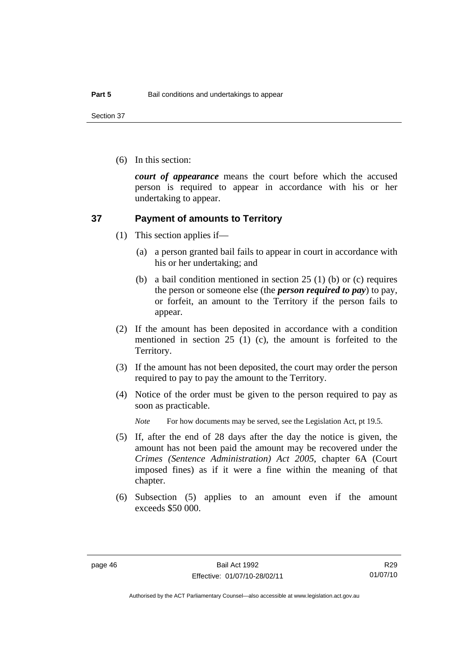Section 37

(6) In this section:

*court of appearance* means the court before which the accused person is required to appear in accordance with his or her undertaking to appear.

### **37 Payment of amounts to Territory**

- (1) This section applies if—
	- (a) a person granted bail fails to appear in court in accordance with his or her undertaking; and
	- (b) a bail condition mentioned in section 25 (1) (b) or (c) requires the person or someone else (the *person required to pay*) to pay, or forfeit, an amount to the Territory if the person fails to appear.
- (2) If the amount has been deposited in accordance with a condition mentioned in section 25 (1) (c), the amount is forfeited to the Territory.
- (3) If the amount has not been deposited, the court may order the person required to pay to pay the amount to the Territory.
- (4) Notice of the order must be given to the person required to pay as soon as practicable.

*Note* For how documents may be served, see the Legislation Act, pt 19.5.

- (5) If, after the end of 28 days after the day the notice is given, the amount has not been paid the amount may be recovered under the *Crimes (Sentence Administration) Act 2005*, chapter 6A (Court imposed fines) as if it were a fine within the meaning of that chapter.
- (6) Subsection (5) applies to an amount even if the amount exceeds \$50 000.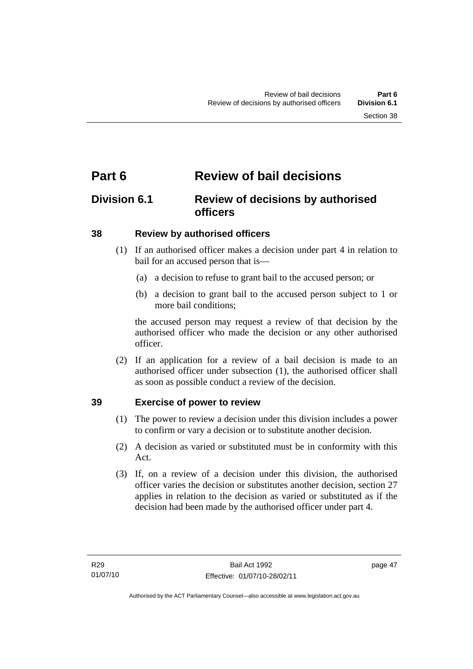# **Part 6 Review of bail decisions**

# **Division 6.1 Review of decisions by authorised officers**

# **38 Review by authorised officers**

- (1) If an authorised officer makes a decision under part 4 in relation to bail for an accused person that is—
	- (a) a decision to refuse to grant bail to the accused person; or
	- (b) a decision to grant bail to the accused person subject to 1 or more bail conditions;

the accused person may request a review of that decision by the authorised officer who made the decision or any other authorised officer.

 (2) If an application for a review of a bail decision is made to an authorised officer under subsection (1), the authorised officer shall as soon as possible conduct a review of the decision.

# **39 Exercise of power to review**

- (1) The power to review a decision under this division includes a power to confirm or vary a decision or to substitute another decision.
- (2) A decision as varied or substituted must be in conformity with this Act.
- (3) If, on a review of a decision under this division, the authorised officer varies the decision or substitutes another decision, section 27 applies in relation to the decision as varied or substituted as if the decision had been made by the authorised officer under part 4.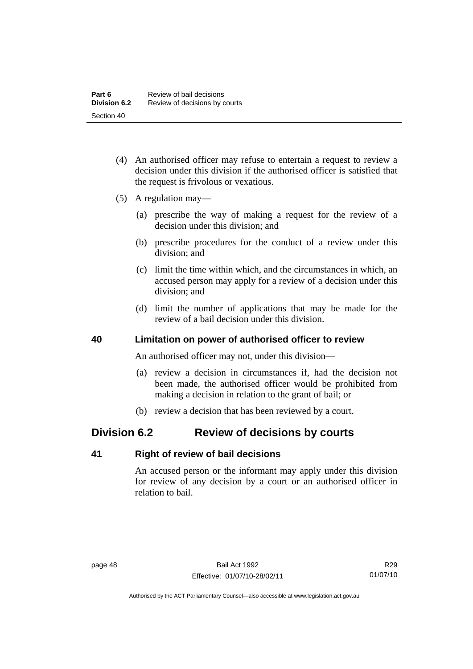- (4) An authorised officer may refuse to entertain a request to review a decision under this division if the authorised officer is satisfied that the request is frivolous or vexatious.
- (5) A regulation may—
	- (a) prescribe the way of making a request for the review of a decision under this division; and
	- (b) prescribe procedures for the conduct of a review under this division; and
	- (c) limit the time within which, and the circumstances in which, an accused person may apply for a review of a decision under this division; and
	- (d) limit the number of applications that may be made for the review of a bail decision under this division.

# **40 Limitation on power of authorised officer to review**

An authorised officer may not, under this division—

- (a) review a decision in circumstances if, had the decision not been made, the authorised officer would be prohibited from making a decision in relation to the grant of bail; or
- (b) review a decision that has been reviewed by a court.

# **Division 6.2 Review of decisions by courts**

# **41 Right of review of bail decisions**

An accused person or the informant may apply under this division for review of any decision by a court or an authorised officer in relation to bail.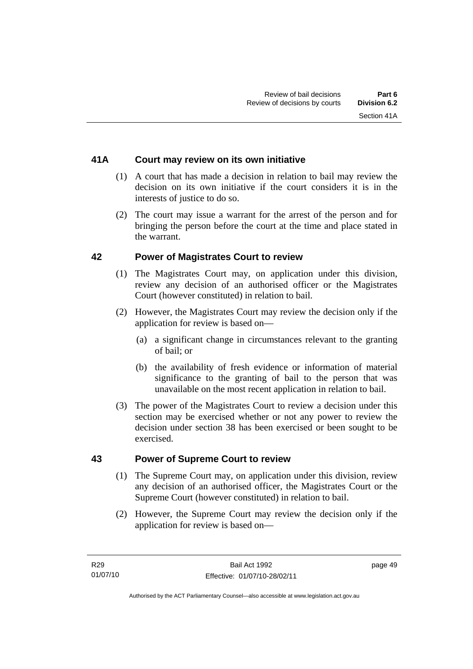# **41A Court may review on its own initiative**

- (1) A court that has made a decision in relation to bail may review the decision on its own initiative if the court considers it is in the interests of justice to do so.
- (2) The court may issue a warrant for the arrest of the person and for bringing the person before the court at the time and place stated in the warrant.

# **42 Power of Magistrates Court to review**

- (1) The Magistrates Court may, on application under this division, review any decision of an authorised officer or the Magistrates Court (however constituted) in relation to bail.
- (2) However, the Magistrates Court may review the decision only if the application for review is based on—
	- (a) a significant change in circumstances relevant to the granting of bail; or
	- (b) the availability of fresh evidence or information of material significance to the granting of bail to the person that was unavailable on the most recent application in relation to bail.
- (3) The power of the Magistrates Court to review a decision under this section may be exercised whether or not any power to review the decision under section 38 has been exercised or been sought to be exercised.

# **43 Power of Supreme Court to review**

- (1) The Supreme Court may, on application under this division, review any decision of an authorised officer, the Magistrates Court or the Supreme Court (however constituted) in relation to bail.
- (2) However, the Supreme Court may review the decision only if the application for review is based on—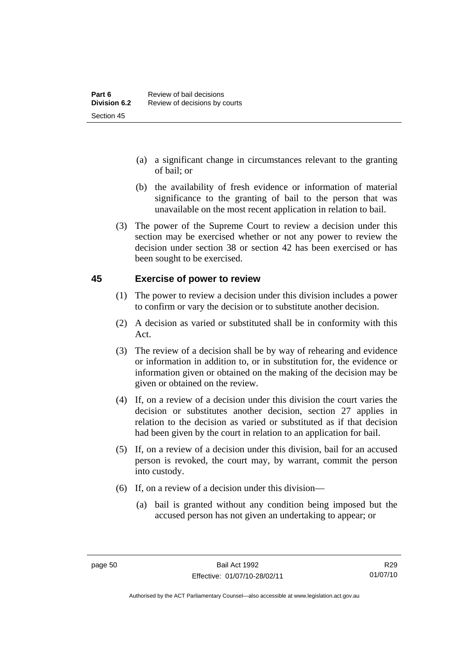- (a) a significant change in circumstances relevant to the granting of bail; or
- (b) the availability of fresh evidence or information of material significance to the granting of bail to the person that was unavailable on the most recent application in relation to bail.
- (3) The power of the Supreme Court to review a decision under this section may be exercised whether or not any power to review the decision under section 38 or section 42 has been exercised or has been sought to be exercised.

# **45 Exercise of power to review**

- (1) The power to review a decision under this division includes a power to confirm or vary the decision or to substitute another decision.
- (2) A decision as varied or substituted shall be in conformity with this Act.
- (3) The review of a decision shall be by way of rehearing and evidence or information in addition to, or in substitution for, the evidence or information given or obtained on the making of the decision may be given or obtained on the review.
- (4) If, on a review of a decision under this division the court varies the decision or substitutes another decision, section 27 applies in relation to the decision as varied or substituted as if that decision had been given by the court in relation to an application for bail.
- (5) If, on a review of a decision under this division, bail for an accused person is revoked, the court may, by warrant, commit the person into custody.
- (6) If, on a review of a decision under this division—
	- (a) bail is granted without any condition being imposed but the accused person has not given an undertaking to appear; or

Authorised by the ACT Parliamentary Counsel—also accessible at www.legislation.act.gov.au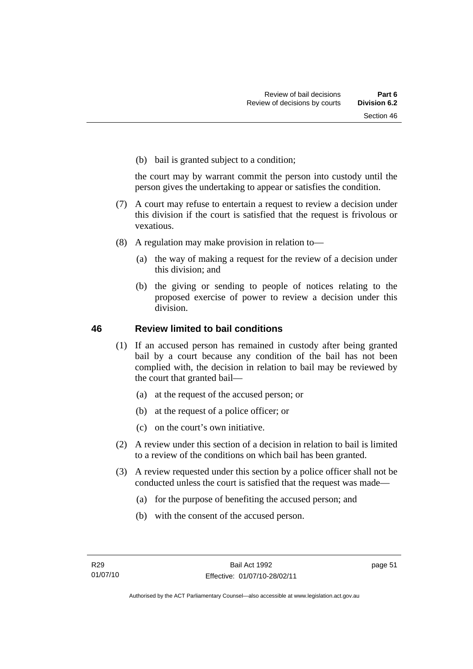(b) bail is granted subject to a condition;

the court may by warrant commit the person into custody until the person gives the undertaking to appear or satisfies the condition.

- (7) A court may refuse to entertain a request to review a decision under this division if the court is satisfied that the request is frivolous or vexatious.
- (8) A regulation may make provision in relation to—
	- (a) the way of making a request for the review of a decision under this division; and
	- (b) the giving or sending to people of notices relating to the proposed exercise of power to review a decision under this division.

# **46 Review limited to bail conditions**

- (1) If an accused person has remained in custody after being granted bail by a court because any condition of the bail has not been complied with, the decision in relation to bail may be reviewed by the court that granted bail—
	- (a) at the request of the accused person; or
	- (b) at the request of a police officer; or
	- (c) on the court's own initiative.
- (2) A review under this section of a decision in relation to bail is limited to a review of the conditions on which bail has been granted.
- (3) A review requested under this section by a police officer shall not be conducted unless the court is satisfied that the request was made—
	- (a) for the purpose of benefiting the accused person; and
	- (b) with the consent of the accused person.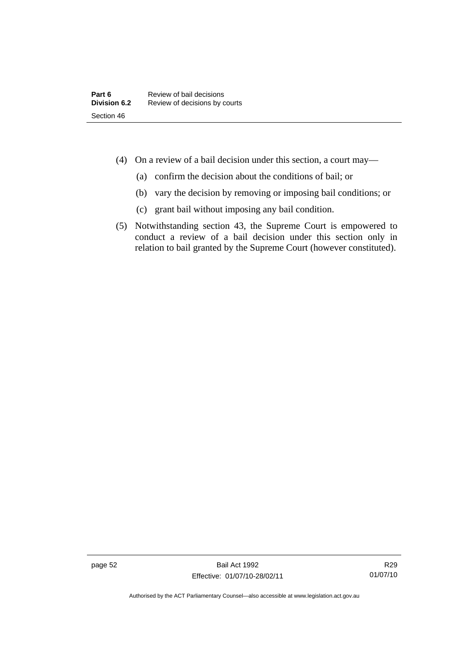- (4) On a review of a bail decision under this section, a court may—
	- (a) confirm the decision about the conditions of bail; or
	- (b) vary the decision by removing or imposing bail conditions; or
	- (c) grant bail without imposing any bail condition.
- (5) Notwithstanding section 43, the Supreme Court is empowered to conduct a review of a bail decision under this section only in relation to bail granted by the Supreme Court (however constituted).

page 52 Bail Act 1992 Effective: 01/07/10-28/02/11

R29 01/07/10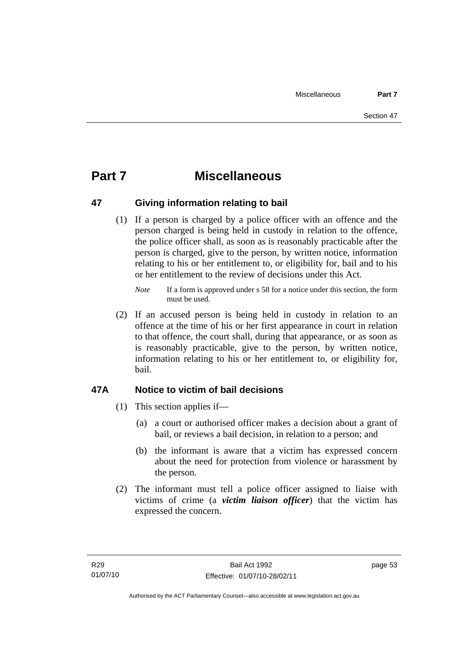# **Part 7 Miscellaneous**

# **47 Giving information relating to bail**

 (1) If a person is charged by a police officer with an offence and the person charged is being held in custody in relation to the offence, the police officer shall, as soon as is reasonably practicable after the person is charged, give to the person, by written notice, information relating to his or her entitlement to, or eligibility for, bail and to his or her entitlement to the review of decisions under this Act.

 (2) If an accused person is being held in custody in relation to an offence at the time of his or her first appearance in court in relation to that offence, the court shall, during that appearance, or as soon as is reasonably practicable, give to the person, by written notice, information relating to his or her entitlement to, or eligibility for, bail.

# **47A Notice to victim of bail decisions**

- (1) This section applies if—
	- (a) a court or authorised officer makes a decision about a grant of bail, or reviews a bail decision, in relation to a person; and
	- (b) the informant is aware that a victim has expressed concern about the need for protection from violence or harassment by the person.
- (2) The informant must tell a police officer assigned to liaise with victims of crime (a *victim liaison officer*) that the victim has expressed the concern.

*Note* If a form is approved under s 58 for a notice under this section, the form must be used.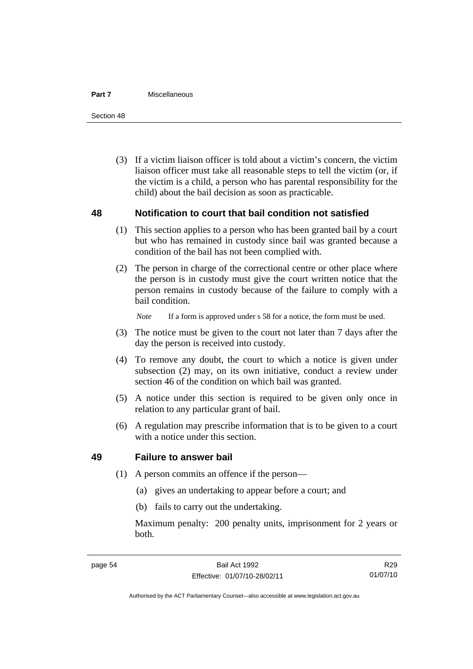#### **Part 7** Miscellaneous

Section 48

 (3) If a victim liaison officer is told about a victim's concern, the victim liaison officer must take all reasonable steps to tell the victim (or, if the victim is a child, a person who has parental responsibility for the child) about the bail decision as soon as practicable.

# **48 Notification to court that bail condition not satisfied**

- (1) This section applies to a person who has been granted bail by a court but who has remained in custody since bail was granted because a condition of the bail has not been complied with.
- (2) The person in charge of the correctional centre or other place where the person is in custody must give the court written notice that the person remains in custody because of the failure to comply with a bail condition.

*Note* If a form is approved under s 58 for a notice, the form must be used.

- (3) The notice must be given to the court not later than 7 days after the day the person is received into custody.
- (4) To remove any doubt, the court to which a notice is given under subsection (2) may, on its own initiative, conduct a review under section 46 of the condition on which bail was granted.
- (5) A notice under this section is required to be given only once in relation to any particular grant of bail.
- (6) A regulation may prescribe information that is to be given to a court with a notice under this section.

# **49 Failure to answer bail**

- (1) A person commits an offence if the person—
	- (a) gives an undertaking to appear before a court; and
	- (b) fails to carry out the undertaking.

Maximum penalty: 200 penalty units, imprisonment for 2 years or both.

Authorised by the ACT Parliamentary Counsel—also accessible at www.legislation.act.gov.au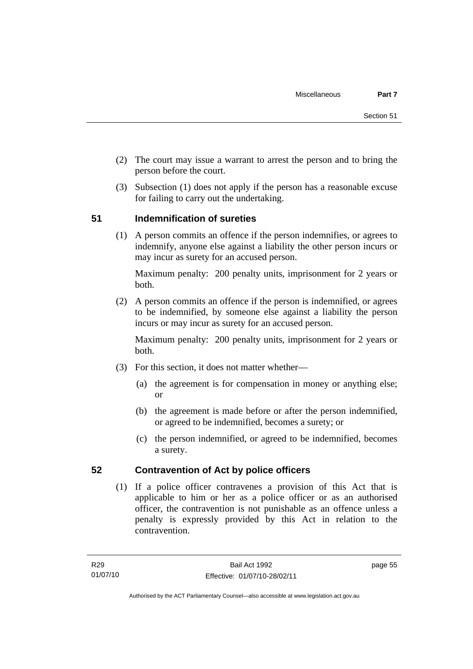- (2) The court may issue a warrant to arrest the person and to bring the person before the court.
- (3) Subsection (1) does not apply if the person has a reasonable excuse for failing to carry out the undertaking.

# **51 Indemnification of sureties**

 (1) A person commits an offence if the person indemnifies, or agrees to indemnify, anyone else against a liability the other person incurs or may incur as surety for an accused person.

Maximum penalty: 200 penalty units, imprisonment for 2 years or both.

 (2) A person commits an offence if the person is indemnified, or agrees to be indemnified, by someone else against a liability the person incurs or may incur as surety for an accused person.

Maximum penalty: 200 penalty units, imprisonment for 2 years or both.

- (3) For this section, it does not matter whether—
	- (a) the agreement is for compensation in money or anything else; or
	- (b) the agreement is made before or after the person indemnified, or agreed to be indemnified, becomes a surety; or
	- (c) the person indemnified, or agreed to be indemnified, becomes a surety.

# **52 Contravention of Act by police officers**

 (1) If a police officer contravenes a provision of this Act that is applicable to him or her as a police officer or as an authorised officer, the contravention is not punishable as an offence unless a penalty is expressly provided by this Act in relation to the contravention.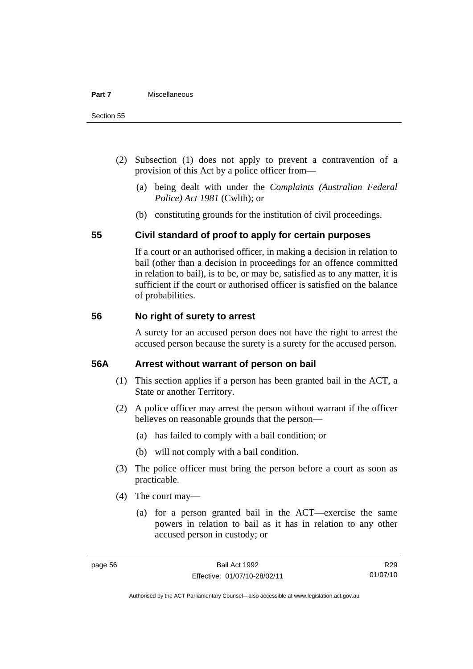- (2) Subsection (1) does not apply to prevent a contravention of a provision of this Act by a police officer from—
	- (a) being dealt with under the *Complaints (Australian Federal Police) Act 1981* (Cwlth); or
	- (b) constituting grounds for the institution of civil proceedings.

# **55 Civil standard of proof to apply for certain purposes**

If a court or an authorised officer, in making a decision in relation to bail (other than a decision in proceedings for an offence committed in relation to bail), is to be, or may be, satisfied as to any matter, it is sufficient if the court or authorised officer is satisfied on the balance of probabilities.

# **56 No right of surety to arrest**

A surety for an accused person does not have the right to arrest the accused person because the surety is a surety for the accused person.

# **56A Arrest without warrant of person on bail**

- (1) This section applies if a person has been granted bail in the ACT, a State or another Territory.
- (2) A police officer may arrest the person without warrant if the officer believes on reasonable grounds that the person—
	- (a) has failed to comply with a bail condition; or
	- (b) will not comply with a bail condition.
- (3) The police officer must bring the person before a court as soon as practicable.
- (4) The court may—
	- (a) for a person granted bail in the ACT—exercise the same powers in relation to bail as it has in relation to any other accused person in custody; or

R29 01/07/10

Authorised by the ACT Parliamentary Counsel—also accessible at www.legislation.act.gov.au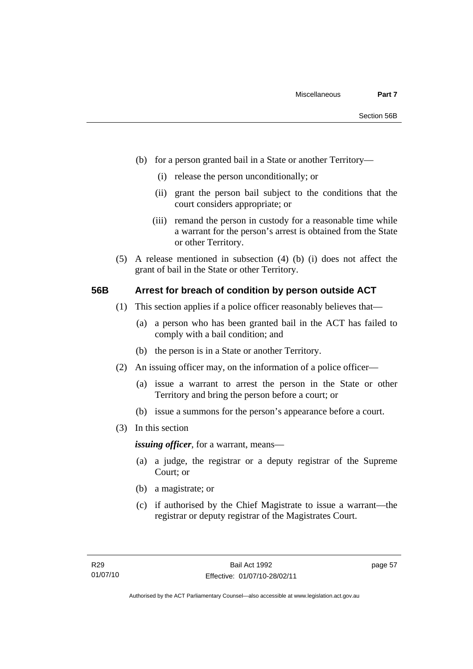- (b) for a person granted bail in a State or another Territory—
	- (i) release the person unconditionally; or
	- (ii) grant the person bail subject to the conditions that the court considers appropriate; or
	- (iii) remand the person in custody for a reasonable time while a warrant for the person's arrest is obtained from the State or other Territory.
- (5) A release mentioned in subsection (4) (b) (i) does not affect the grant of bail in the State or other Territory.

#### **56B Arrest for breach of condition by person outside ACT**

- (1) This section applies if a police officer reasonably believes that—
	- (a) a person who has been granted bail in the ACT has failed to comply with a bail condition; and
	- (b) the person is in a State or another Territory.
- (2) An issuing officer may, on the information of a police officer—
	- (a) issue a warrant to arrest the person in the State or other Territory and bring the person before a court; or
	- (b) issue a summons for the person's appearance before a court.
- (3) In this section

*issuing officer*, for a warrant, means—

- (a) a judge, the registrar or a deputy registrar of the Supreme Court; or
- (b) a magistrate; or
- (c) if authorised by the Chief Magistrate to issue a warrant—the registrar or deputy registrar of the Magistrates Court.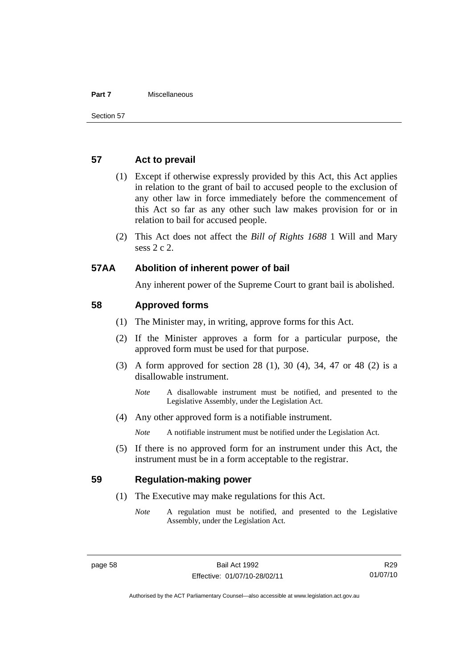#### **Part 7** Miscellaneous

### **57 Act to prevail**

- (1) Except if otherwise expressly provided by this Act, this Act applies in relation to the grant of bail to accused people to the exclusion of any other law in force immediately before the commencement of this Act so far as any other such law makes provision for or in relation to bail for accused people.
- (2) This Act does not affect the *Bill of Rights 1688* 1 Will and Mary sess 2 c 2.

### **57AA Abolition of inherent power of bail**

Any inherent power of the Supreme Court to grant bail is abolished.

### **58 Approved forms**

- (1) The Minister may, in writing, approve forms for this Act.
- (2) If the Minister approves a form for a particular purpose, the approved form must be used for that purpose.
- (3) A form approved for section 28 (1), 30 (4), 34, 47 or 48 (2) is a disallowable instrument.
	- *Note* A disallowable instrument must be notified, and presented to the Legislative Assembly, under the Legislation Act.
- (4) Any other approved form is a notifiable instrument.

*Note* A notifiable instrument must be notified under the Legislation Act.

 (5) If there is no approved form for an instrument under this Act, the instrument must be in a form acceptable to the registrar.

### **59 Regulation-making power**

- (1) The Executive may make regulations for this Act.
	- *Note* A regulation must be notified, and presented to the Legislative Assembly, under the Legislation Act.

R29 01/07/10

Authorised by the ACT Parliamentary Counsel—also accessible at www.legislation.act.gov.au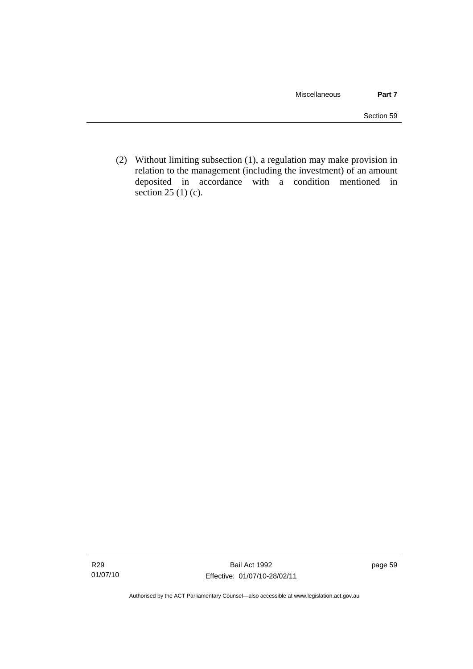(2) Without limiting subsection (1), a regulation may make provision in relation to the management (including the investment) of an amount deposited in accordance with a condition mentioned in section 25 (1) (c).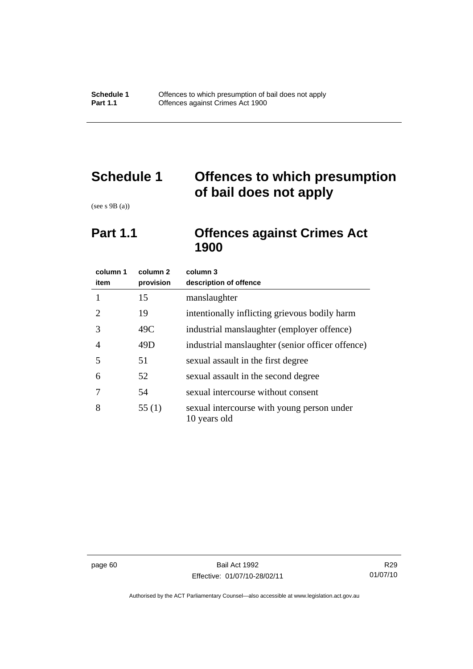# **Schedule 1 Offences to which presumption of bail does not apply**

(see s 9B (a))

# **Part 1.1 Offences against Crimes Act 1900**

| column 1<br>item            | column 2<br>provision | column 3<br>description of offence                         |
|-----------------------------|-----------------------|------------------------------------------------------------|
| 1                           | 15                    | manslaughter                                               |
| $\mathcal{D}_{\mathcal{L}}$ | 19                    | intentionally inflicting grievous bodily harm              |
| 3                           | 49C                   | industrial manslaughter (employer offence)                 |
| 4                           | 49D                   | industrial manslaughter (senior officer offence)           |
| 5                           | 51                    | sexual assault in the first degree                         |
| 6                           | 52                    | sexual assault in the second degree                        |
|                             | 54                    | sexual intercourse without consent                         |
| 8                           | 55(1)                 | sexual intercourse with young person under<br>10 years old |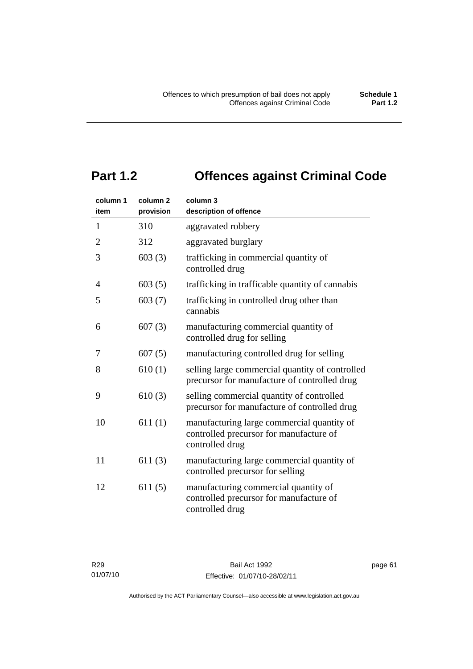# **Part 1.2 Offences against Criminal Code**

| column 1<br>item | column <sub>2</sub><br>provision | column 3<br>description of offence                                                                       |
|------------------|----------------------------------|----------------------------------------------------------------------------------------------------------|
| $\mathbf{1}$     | 310                              | aggravated robbery                                                                                       |
| $\overline{2}$   | 312                              | aggravated burglary                                                                                      |
| 3                | 603(3)                           | trafficking in commercial quantity of<br>controlled drug                                                 |
| 4                | 603(5)                           | trafficking in trafficable quantity of cannabis                                                          |
| 5                | 603(7)                           | trafficking in controlled drug other than<br>cannabis                                                    |
| 6                | 607(3)                           | manufacturing commercial quantity of<br>controlled drug for selling                                      |
| 7                | 607(5)                           | manufacturing controlled drug for selling                                                                |
| 8                | 610(1)                           | selling large commercial quantity of controlled<br>precursor for manufacture of controlled drug          |
| 9                | 610(3)                           | selling commercial quantity of controlled<br>precursor for manufacture of controlled drug                |
| 10               | 611(1)                           | manufacturing large commercial quantity of<br>controlled precursor for manufacture of<br>controlled drug |
| 11               | 611(3)                           | manufacturing large commercial quantity of<br>controlled precursor for selling                           |
| 12               | 611(5)                           | manufacturing commercial quantity of<br>controlled precursor for manufacture of<br>controlled drug       |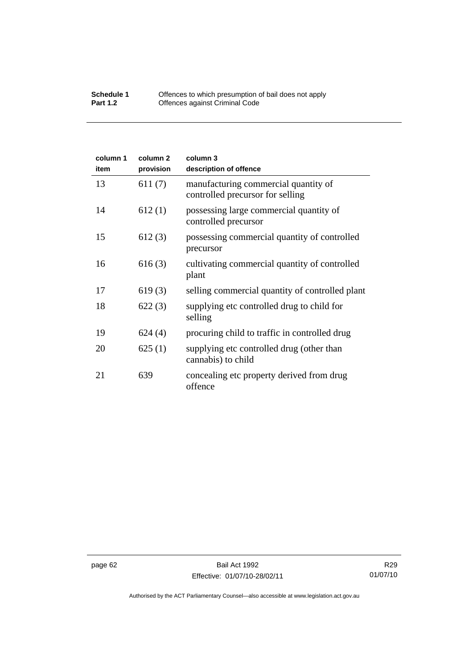#### **Schedule 1** Offences to which presumption of bail does not apply **Part 1.2 C** Offences against Criminal Code

| column 1<br>item | column <sub>2</sub><br>provision | column 3<br>description of offence                                       |
|------------------|----------------------------------|--------------------------------------------------------------------------|
| 13               | 611(7)                           | manufacturing commercial quantity of<br>controlled precursor for selling |
| 14               | 612(1)                           | possessing large commercial quantity of<br>controlled precursor          |
| 15               | 612(3)                           | possessing commercial quantity of controlled<br>precursor                |
| 16               | 616(3)                           | cultivating commercial quantity of controlled<br>plant                   |
| 17               | 619(3)                           | selling commercial quantity of controlled plant                          |
| 18               | 622(3)                           | supplying etc controlled drug to child for<br>selling                    |
| 19               | 624(4)                           | procuring child to traffic in controlled drug                            |
| 20               | 625(1)                           | supplying etc controlled drug (other than<br>cannabis) to child          |
| 21               | 639                              | concealing etc property derived from drug<br>offence                     |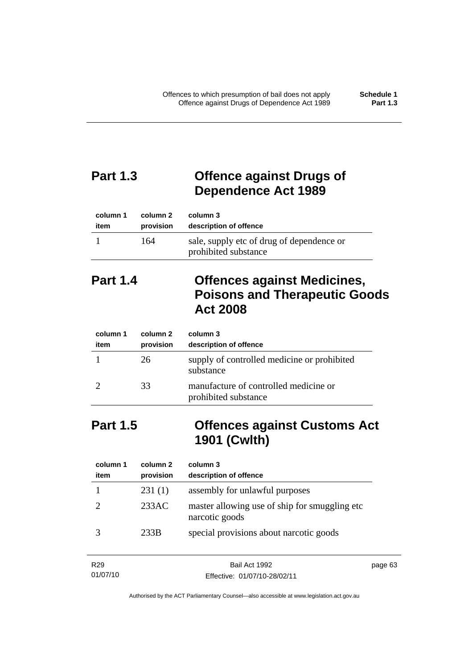# **Part 1.3 Offence against Drugs of Dependence Act 1989**

| column 1 | column 2  | column 3                                                          |
|----------|-----------|-------------------------------------------------------------------|
| item     | provision | description of offence                                            |
|          | 164       | sale, supply etc of drug of dependence or<br>prohibited substance |

# **Part 1.4 Offences against Medicines, Poisons and Therapeutic Goods Act 2008**

| column 1<br>item | column 2<br>provision | column 3<br>description of offence                            |
|------------------|-----------------------|---------------------------------------------------------------|
|                  | 26                    | supply of controlled medicine or prohibited<br>substance      |
|                  | 33                    | manufacture of controlled medicine or<br>prohibited substance |

# **Part 1.5 Offences against Customs Act 1901 (Cwlth)**

| column 1<br>item | column 2<br>provision | column 3<br>description of offence                               |
|------------------|-----------------------|------------------------------------------------------------------|
|                  | 231(1)                | assembly for unlawful purposes                                   |
|                  | 233AC                 | master allowing use of ship for smuggling etc.<br>narcotic goods |
|                  | 233B                  | special provisions about narcotic goods                          |

| R <sub>29</sub> | Bail Act 1992                | page 63 |
|-----------------|------------------------------|---------|
| 01/07/10        | Effective: 01/07/10-28/02/11 |         |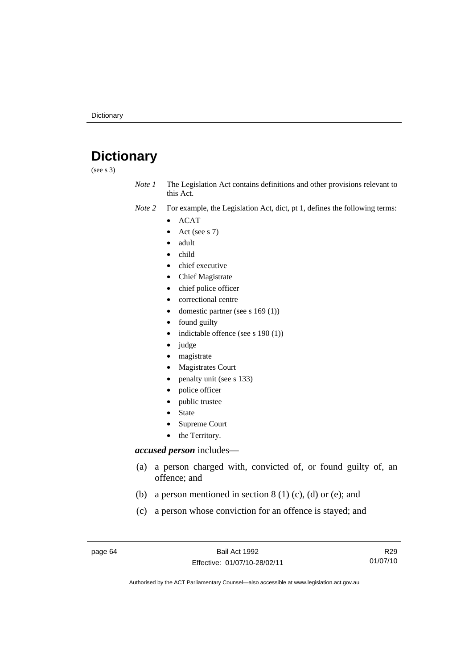# **Dictionary**

(see s 3)

*Note 1* The Legislation Act contains definitions and other provisions relevant to this Act.

*Note 2* For example, the Legislation Act, dict, pt 1, defines the following terms:

- ACAT
	- Act (see s 7)
	- adult
- child
- chief executive
- Chief Magistrate
- chief police officer
- correctional centre
- domestic partner (see s 169 (1))
- found guilty
- indictable offence (see s 190 (1))
- judge
- magistrate
- Magistrates Court
- penalty unit (see s 133)
- police officer
- public trustee
- **State**
- Supreme Court
- the Territory.

#### *accused person* includes—

- (a) a person charged with, convicted of, or found guilty of, an offence; and
- (b) a person mentioned in section  $8(1)(c)$ , (d) or (e); and
- (c) a person whose conviction for an offence is stayed; and

page 64 Bail Act 1992 Effective: 01/07/10-28/02/11

R29 01/07/10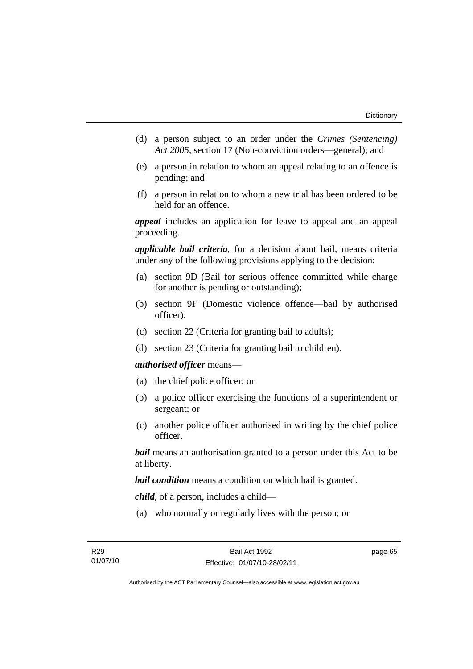- (d) a person subject to an order under the *Crimes (Sentencing) Act 2005*, section 17 (Non-conviction orders—general); and
- (e) a person in relation to whom an appeal relating to an offence is pending; and
- (f) a person in relation to whom a new trial has been ordered to be held for an offence.

*appeal* includes an application for leave to appeal and an appeal proceeding.

*applicable bail criteria*, for a decision about bail, means criteria under any of the following provisions applying to the decision:

- (a) section 9D (Bail for serious offence committed while charge for another is pending or outstanding);
- (b) section 9F (Domestic violence offence—bail by authorised officer);
- (c) section 22 (Criteria for granting bail to adults);
- (d) section 23 (Criteria for granting bail to children).

#### *authorised officer* means—

- (a) the chief police officer; or
- (b) a police officer exercising the functions of a superintendent or sergeant; or
- (c) another police officer authorised in writing by the chief police officer.

*bail* means an authorisation granted to a person under this Act to be at liberty.

*bail condition* means a condition on which bail is granted.

*child*, of a person, includes a child—

(a) who normally or regularly lives with the person; or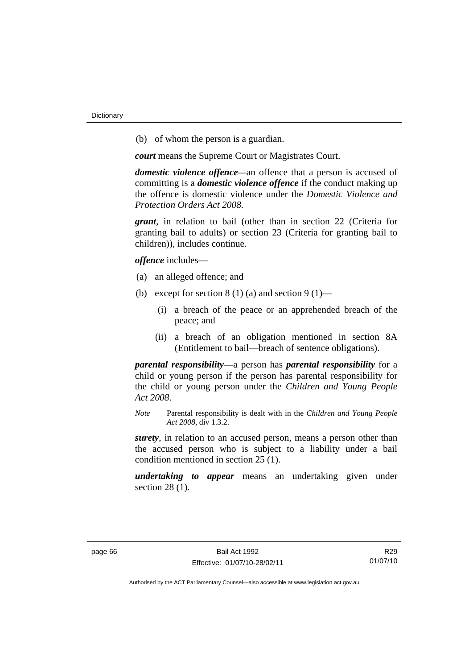(b) of whom the person is a guardian.

*court* means the Supreme Court or Magistrates Court.

*domestic violence offence—*an offence that a person is accused of committing is a *domestic violence offence* if the conduct making up the offence is domestic violence under the *Domestic Violence and Protection Orders Act 2008*.

*grant*, in relation to bail (other than in section 22 (Criteria for granting bail to adults) or section 23 (Criteria for granting bail to children)), includes continue.

*offence* includes—

- (a) an alleged offence; and
- (b) except for section  $8(1)(a)$  and section  $9(1)$ 
	- (i) a breach of the peace or an apprehended breach of the peace; and
	- (ii) a breach of an obligation mentioned in section 8A (Entitlement to bail—breach of sentence obligations).

*parental responsibility*—a person has *parental responsibility* for a child or young person if the person has parental responsibility for the child or young person under the *Children and Young People Act 2008*.

*Note* Parental responsibility is dealt with in the *Children and Young People Act 2008*, div 1.3.2.

*surety*, in relation to an accused person, means a person other than the accused person who is subject to a liability under a bail condition mentioned in section 25 (1).

*undertaking to appear* means an undertaking given under section 28 (1).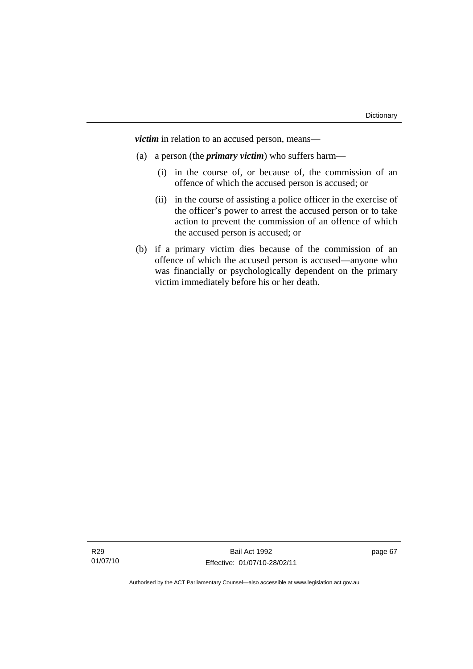*victim* in relation to an accused person, means—

- (a) a person (the *primary victim*) who suffers harm—
	- (i) in the course of, or because of, the commission of an offence of which the accused person is accused; or
	- (ii) in the course of assisting a police officer in the exercise of the officer's power to arrest the accused person or to take action to prevent the commission of an offence of which the accused person is accused; or
- (b) if a primary victim dies because of the commission of an offence of which the accused person is accused—anyone who was financially or psychologically dependent on the primary victim immediately before his or her death.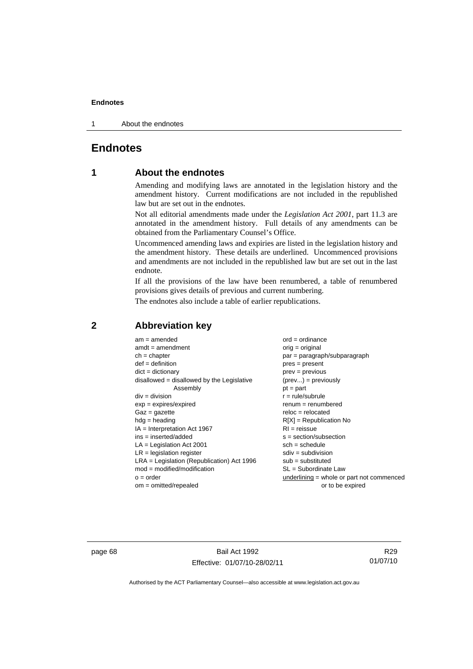1 About the endnotes

## **Endnotes**

## **1 About the endnotes**

Amending and modifying laws are annotated in the legislation history and the amendment history. Current modifications are not included in the republished law but are set out in the endnotes.

Not all editorial amendments made under the *Legislation Act 2001*, part 11.3 are annotated in the amendment history. Full details of any amendments can be obtained from the Parliamentary Counsel's Office.

Uncommenced amending laws and expiries are listed in the legislation history and the amendment history. These details are underlined. Uncommenced provisions and amendments are not included in the republished law but are set out in the last endnote.

If all the provisions of the law have been renumbered, a table of renumbered provisions gives details of previous and current numbering.

The endnotes also include a table of earlier republications.

| $am = amended$                               | $ord = ordinance$                         |
|----------------------------------------------|-------------------------------------------|
| $amdt = amendment$                           | orig = original                           |
| $ch = chapter$                               | $par = paragraph/subparagraph$            |
| $def = definition$                           | $pres = present$                          |
| $dict = dictionary$                          | $prev = previous$                         |
| disallowed = disallowed by the Legislative   | $(\text{prev}) = \text{previously}$       |
| Assembly                                     | $pt = part$                               |
| $div = division$                             | $r = rule/subrule$                        |
| $exp = expires/expired$                      | $renum = renumbered$                      |
| $Gaz = gazette$                              | $reloc = relocated$                       |
| $hdg =$ heading                              | $R[X]$ = Republication No                 |
| $IA = Interpretation Act 1967$               | $RI = reissue$                            |
| $ins = inserted/added$                       | $s = section/subsection$                  |
| $LA =$ Legislation Act 2001                  | $sch = schedule$                          |
| $LR =$ legislation register                  | $sdiv = subdivision$                      |
| $LRA =$ Legislation (Republication) Act 1996 | $sub =$ substituted                       |
| $mod = modified/modification$                | SL = Subordinate Law                      |
| $o = order$                                  | underlining = whole or part not commenced |
| $om = omitted/repealed$                      | or to be expired                          |
|                                              |                                           |

## **2 Abbreviation key**

page 68 Bail Act 1992 Effective: 01/07/10-28/02/11

R29 01/07/10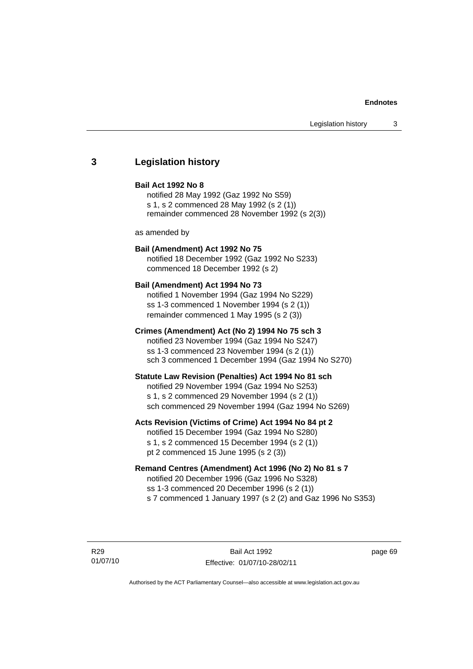## **3 Legislation history**

#### **Bail Act 1992 No 8**

notified 28 May 1992 (Gaz 1992 No S59) s 1, s 2 commenced 28 May 1992 (s 2 (1)) remainder commenced 28 November 1992 (s 2(3))

as amended by

## **Bail (Amendment) Act 1992 No 75**

notified 18 December 1992 (Gaz 1992 No S233) commenced 18 December 1992 (s 2)

#### **Bail (Amendment) Act 1994 No 73**

notified 1 November 1994 (Gaz 1994 No S229) ss 1-3 commenced 1 November 1994 (s 2 (1)) remainder commenced 1 May 1995 (s 2 (3))

## **Crimes (Amendment) Act (No 2) 1994 No 75 sch 3**

notified 23 November 1994 (Gaz 1994 No S247) ss 1-3 commenced 23 November 1994 (s 2 (1)) sch 3 commenced 1 December 1994 (Gaz 1994 No S270)

#### **Statute Law Revision (Penalties) Act 1994 No 81 sch**

notified 29 November 1994 (Gaz 1994 No S253) s 1, s 2 commenced 29 November 1994 (s 2 (1)) sch commenced 29 November 1994 (Gaz 1994 No S269)

## **Acts Revision (Victims of Crime) Act 1994 No 84 pt 2**

notified 15 December 1994 (Gaz 1994 No S280) s 1, s 2 commenced 15 December 1994 (s 2 (1)) pt 2 commenced 15 June 1995 (s 2 (3))

## **Remand Centres (Amendment) Act 1996 (No 2) No 81 s 7**

notified 20 December 1996 (Gaz 1996 No S328) ss 1-3 commenced 20 December 1996 (s 2 (1)) s 7 commenced 1 January 1997 (s 2 (2) and Gaz 1996 No S353)

R29 01/07/10

Bail Act 1992 Effective: 01/07/10-28/02/11 page 69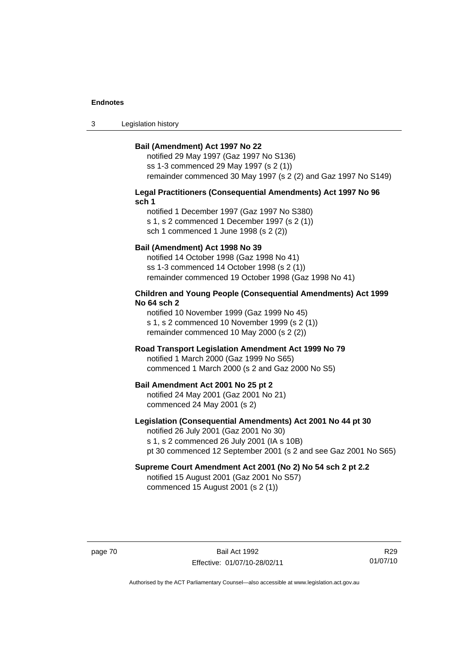3 Legislation history

#### **Bail (Amendment) Act 1997 No 22**

notified 29 May 1997 (Gaz 1997 No S136) ss 1-3 commenced 29 May 1997 (s 2 (1)) remainder commenced 30 May 1997 (s 2 (2) and Gaz 1997 No S149)

#### **Legal Practitioners (Consequential Amendments) Act 1997 No 96 sch 1**

notified 1 December 1997 (Gaz 1997 No S380) s 1, s 2 commenced 1 December 1997 (s 2 (1)) sch 1 commenced 1 June 1998 (s 2 (2))

## **Bail (Amendment) Act 1998 No 39**

notified 14 October 1998 (Gaz 1998 No 41) ss 1-3 commenced 14 October 1998 (s 2 (1)) remainder commenced 19 October 1998 (Gaz 1998 No 41)

## **Children and Young People (Consequential Amendments) Act 1999 No 64 sch 2**

notified 10 November 1999 (Gaz 1999 No 45) s 1, s 2 commenced 10 November 1999 (s 2 (1)) remainder commenced 10 May 2000 (s 2 (2))

## **Road Transport Legislation Amendment Act 1999 No 79**

notified 1 March 2000 (Gaz 1999 No S65) commenced 1 March 2000 (s 2 and Gaz 2000 No S5)

#### **Bail Amendment Act 2001 No 25 pt 2**

notified 24 May 2001 (Gaz 2001 No 21) commenced 24 May 2001 (s 2)

## **Legislation (Consequential Amendments) Act 2001 No 44 pt 30**

notified 26 July 2001 (Gaz 2001 No 30) s 1, s 2 commenced 26 July 2001 (IA s 10B) pt 30 commenced 12 September 2001 (s 2 and see Gaz 2001 No S65)

# **Supreme Court Amendment Act 2001 (No 2) No 54 sch 2 pt 2.2**

notified 15 August 2001 (Gaz 2001 No S57) commenced 15 August 2001 (s 2 (1))

page 70 Bail Act 1992 Effective: 01/07/10-28/02/11

R29 01/07/10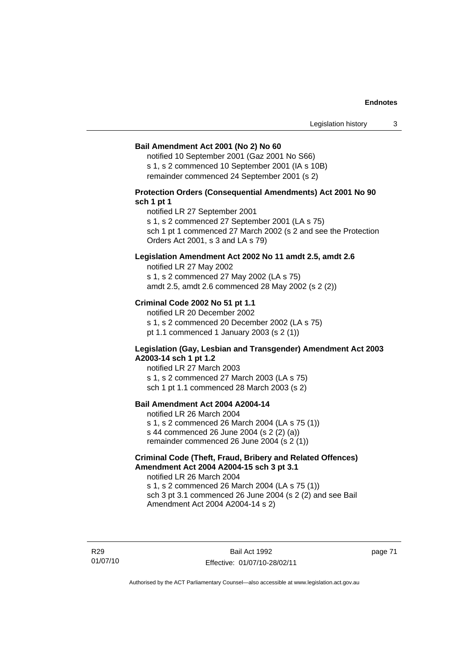#### **Bail Amendment Act 2001 (No 2) No 60**

notified 10 September 2001 (Gaz 2001 No S66) s 1, s 2 commenced 10 September 2001 (IA s 10B) remainder commenced 24 September 2001 (s 2)

## **Protection Orders (Consequential Amendments) Act 2001 No 90 sch 1 pt 1**

notified LR 27 September 2001

s 1, s 2 commenced 27 September 2001 (LA s 75)

sch 1 pt 1 commenced 27 March 2002 (s 2 and see the Protection Orders Act 2001, s 3 and LA s 79)

## **Legislation Amendment Act 2002 No 11 amdt 2.5, amdt 2.6**

notified LR 27 May 2002 s 1, s 2 commenced 27 May 2002 (LA s 75) amdt 2.5, amdt 2.6 commenced 28 May 2002 (s 2 (2))

## **Criminal Code 2002 No 51 pt 1.1**

notified LR 20 December 2002 s 1, s 2 commenced 20 December 2002 (LA s 75) pt 1.1 commenced 1 January 2003 (s 2 (1))

#### **Legislation (Gay, Lesbian and Transgender) Amendment Act 2003 A2003-14 sch 1 pt 1.2**

notified LR 27 March 2003 s 1, s 2 commenced 27 March 2003 (LA s 75) sch 1 pt 1.1 commenced 28 March 2003 (s 2)

## **Bail Amendment Act 2004 A2004-14**

notified LR 26 March 2004 s 1, s 2 commenced 26 March 2004 (LA s 75 (1)) s 44 commenced 26 June 2004 (s 2 (2) (a)) remainder commenced 26 June 2004 (s 2 (1))

## **Criminal Code (Theft, Fraud, Bribery and Related Offences) Amendment Act 2004 A2004-15 sch 3 pt 3.1**

notified LR 26 March 2004 s 1, s 2 commenced 26 March 2004 (LA s 75 (1)) sch 3 pt 3.1 commenced 26 June 2004 (s 2 (2) and see Bail Amendment Act 2004 A2004-14 s 2)

R29 01/07/10 page 71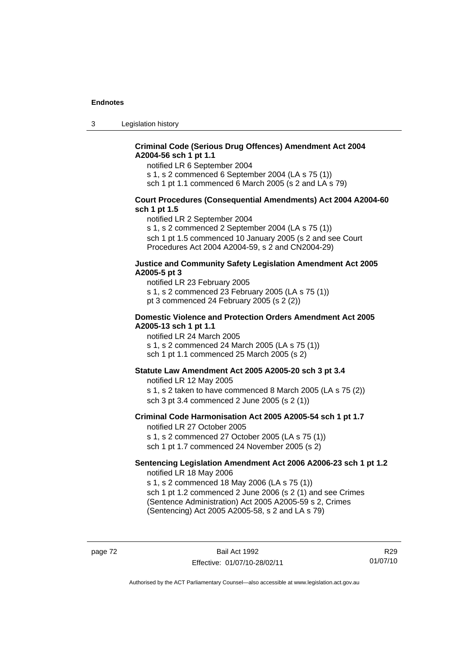3 Legislation history

## **Criminal Code (Serious Drug Offences) Amendment Act 2004 A2004-56 sch 1 pt 1.1**

notified LR 6 September 2004

s 1, s 2 commenced 6 September 2004 (LA s 75 (1))

sch 1 pt 1.1 commenced 6 March 2005 (s 2 and LA s 79)

## **Court Procedures (Consequential Amendments) Act 2004 A2004-60 sch 1 pt 1.5**

notified LR 2 September 2004

s 1, s 2 commenced 2 September 2004 (LA s 75 (1)) sch 1 pt 1.5 commenced 10 January 2005 (s 2 and see Court Procedures Act 2004 A2004-59, s 2 and CN2004-29)

#### **Justice and Community Safety Legislation Amendment Act 2005 A2005-5 pt 3**

notified LR 23 February 2005 s 1, s 2 commenced 23 February 2005 (LA s 75 (1)) pt 3 commenced 24 February 2005 (s 2 (2))

### **Domestic Violence and Protection Orders Amendment Act 2005 A2005-13 sch 1 pt 1.1**

notified LR 24 March 2005 s 1, s 2 commenced 24 March 2005 (LA s 75 (1)) sch 1 pt 1.1 commenced 25 March 2005 (s 2)

## **Statute Law Amendment Act 2005 A2005-20 sch 3 pt 3.4**

notified LR 12 May 2005 s 1, s 2 taken to have commenced 8 March 2005 (LA s 75 (2)) sch 3 pt 3.4 commenced 2 June 2005 (s 2 (1))

#### **Criminal Code Harmonisation Act 2005 A2005-54 sch 1 pt 1.7**  notified LR 27 October 2005

s 1, s 2 commenced 27 October 2005 (LA s 75 (1)) sch 1 pt 1.7 commenced 24 November 2005 (s 2)

#### **Sentencing Legislation Amendment Act 2006 A2006-23 sch 1 pt 1.2**  notified LR 18 May 2006

s 1, s 2 commenced 18 May 2006 (LA s 75 (1)) sch 1 pt 1.2 commenced 2 June 2006 (s 2 (1) and see Crimes (Sentence Administration) Act 2005 A2005-59 s 2, Crimes

(Sentencing) Act 2005 A2005-58, s 2 and LA s 79)

page 72 Bail Act 1992 Effective: 01/07/10-28/02/11

R29 01/07/10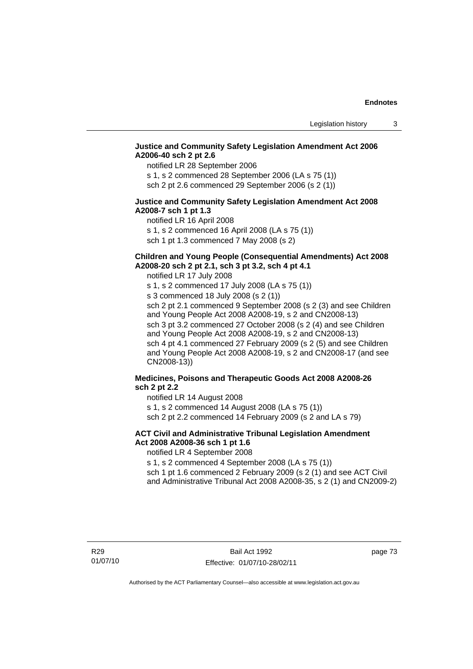## **Justice and Community Safety Legislation Amendment Act 2006 A2006-40 sch 2 pt 2.6**

notified LR 28 September 2006

s 1, s 2 commenced 28 September 2006 (LA s 75 (1)) sch 2 pt 2.6 commenced 29 September 2006 (s 2 (1))

## **Justice and Community Safety Legislation Amendment Act 2008 A2008-7 sch 1 pt 1.3**

notified LR 16 April 2008 s 1, s 2 commenced 16 April 2008 (LA s 75 (1)) sch 1 pt 1.3 commenced 7 May 2008 (s 2)

# **Children and Young People (Consequential Amendments) Act 2008**

**A2008-20 sch 2 pt 2.1, sch 3 pt 3.2, sch 4 pt 4.1** 

notified LR 17 July 2008

s 1, s 2 commenced 17 July 2008 (LA s 75 (1)) s 3 commenced 18 July 2008 (s 2 (1)) sch 2 pt 2.1 commenced 9 September 2008 (s 2 (3) and see Children and Young People Act 2008 A2008-19, s 2 and CN2008-13) sch 3 pt 3.2 commenced 27 October 2008 (s 2 (4) and see Children and Young People Act 2008 A2008-19, s 2 and CN2008-13) sch 4 pt 4.1 commenced 27 February 2009 (s 2 (5) and see Children and Young People Act 2008 A2008-19, s 2 and CN2008-17 (and see CN2008-13))

## **Medicines, Poisons and Therapeutic Goods Act 2008 A2008-26 sch 2 pt 2.2**

notified LR 14 August 2008 s 1, s 2 commenced 14 August 2008 (LA s 75 (1))

sch 2 pt 2.2 commenced 14 February 2009 (s 2 and LA s 79)

## **ACT Civil and Administrative Tribunal Legislation Amendment Act 2008 A2008-36 sch 1 pt 1.6**

notified LR 4 September 2008

s 1, s 2 commenced 4 September 2008 (LA s 75 (1))

sch 1 pt 1.6 commenced 2 February 2009 (s 2 (1) and see ACT Civil and Administrative Tribunal Act 2008 A2008-35, s 2 (1) and CN2009-2)

page 73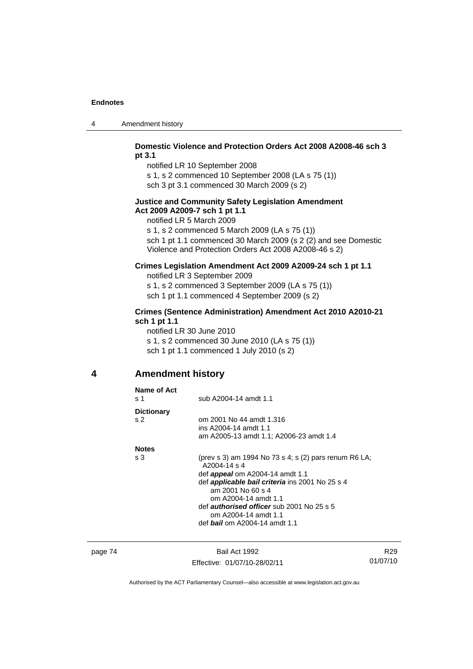| 4 | Amendment history |
|---|-------------------|
|---|-------------------|

## **Domestic Violence and Protection Orders Act 2008 A2008-46 sch 3 pt 3.1**

notified LR 10 September 2008 s 1, s 2 commenced 10 September 2008 (LA s 75 (1))

sch 3 pt 3.1 commenced 30 March 2009 (s 2)

## **Justice and Community Safety Legislation Amendment Act 2009 A2009-7 sch 1 pt 1.1**

notified LR 5 March 2009

s 1, s 2 commenced 5 March 2009 (LA s 75 (1)) sch 1 pt 1.1 commenced 30 March 2009 (s 2 (2) and see Domestic Violence and Protection Orders Act 2008 A2008-46 s 2)

## **Crimes Legislation Amendment Act 2009 A2009-24 sch 1 pt 1.1**

notified LR 3 September 2009 s 1, s 2 commenced 3 September 2009 (LA s 75 (1)) sch 1 pt 1.1 commenced 4 September 2009 (s 2)

## **Crimes (Sentence Administration) Amendment Act 2010 A2010-21 sch 1 pt 1.1**

notified LR 30 June 2010 s 1, s 2 commenced 30 June 2010 (LA s 75 (1)) sch 1 pt 1.1 commenced 1 July 2010 (s 2)

## **4 Amendment history**

| <b>Dictionary</b><br>om 2001 No 44 amdt 1.316<br>s <sub>2</sub><br>ins A2004-14 amdt 1.1<br>am A2005-13 amdt 1.1; A2006-23 amdt 1.4<br><b>Notes</b><br>(prev s 3) am 1994 No 73 s 4; s (2) pars renum R6 LA;<br>s <sub>3</sub><br>A2004-14 s 4<br>def <b>appeal</b> om A2004-14 amdt 1.1<br>def <i>applicable bail criteria</i> ins 2001 No 25 s 4<br>am 2001 No 60 s 4<br>om A2004-14 amdt 1.1<br>def <i>authorised officer</i> sub 2001 No 25 s 5<br>om A2004-14 amdt 1.1 | Name of Act<br>s 1 | sub A2004-14 amdt 1.1                |
|-----------------------------------------------------------------------------------------------------------------------------------------------------------------------------------------------------------------------------------------------------------------------------------------------------------------------------------------------------------------------------------------------------------------------------------------------------------------------------|--------------------|--------------------------------------|
|                                                                                                                                                                                                                                                                                                                                                                                                                                                                             |                    |                                      |
|                                                                                                                                                                                                                                                                                                                                                                                                                                                                             |                    |                                      |
|                                                                                                                                                                                                                                                                                                                                                                                                                                                                             |                    | def <b>bail</b> om A2004-14 amdt 1.1 |

page 74 Bail Act 1992 Effective: 01/07/10-28/02/11

R29 01/07/10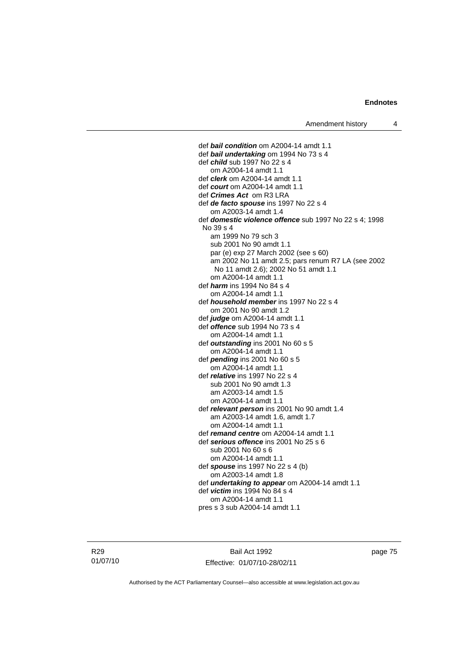def *bail condition* om A2004-14 amdt 1.1 def *bail undertaking* om 1994 No 73 s 4 def *child* sub 1997 No 22 s 4 om A2004-14 amdt 1.1 def *clerk* om A2004-14 amdt 1.1 def *court* om A2004-14 amdt 1.1 def *Crimes Act* om R3 LRA def *de facto spouse* ins 1997 No 22 s 4 om A2003-14 amdt 1.4 def *domestic violence offence* sub 1997 No 22 s 4; 1998 No 39 s 4 am 1999 No 79 sch 3 sub 2001 No 90 amdt 1.1 par (e) exp 27 March 2002 (see s 60) am 2002 No 11 amdt 2.5; pars renum R7 LA (see 2002 No 11 amdt 2.6); 2002 No 51 amdt 1.1 om A2004-14 amdt 1.1 def *harm* ins 1994 No 84 s 4 om A2004-14 amdt 1.1 def *household member* ins 1997 No 22 s 4 om 2001 No 90 amdt 1.2 def *judge* om A2004-14 amdt 1.1 def *offence* sub 1994 No 73 s 4 om A2004-14 amdt 1.1 def *outstanding* ins 2001 No 60 s 5 om A2004-14 amdt 1.1 def *pending* ins 2001 No 60 s 5 om A2004-14 amdt 1.1 def *relative* ins 1997 No 22 s 4 sub 2001 No 90 amdt 1.3 am A2003-14 amdt 1.5 om A2004-14 amdt 1.1 def *relevant person* ins 2001 No 90 amdt 1.4 am A2003-14 amdt 1.6, amdt 1.7 om A2004-14 amdt 1.1 def *remand centre* om A2004-14 amdt 1.1 def *serious offence* ins 2001 No 25 s 6 sub 2001 No 60 s 6 om A2004-14 amdt 1.1 def *spouse* ins 1997 No 22 s 4 (b) om A2003-14 amdt 1.8 def *undertaking to appear* om A2004-14 amdt 1.1 def *victim* ins 1994 No 84 s 4 om A2004-14 amdt 1.1 pres s 3 sub A2004-14 amdt 1.1

R29 01/07/10

Bail Act 1992 Effective: 01/07/10-28/02/11 page 75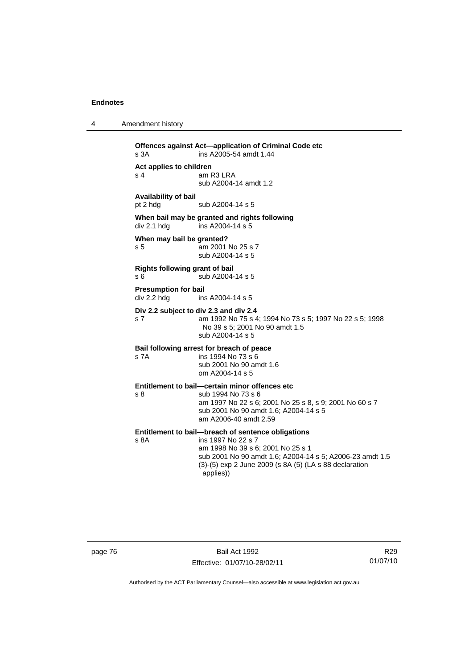| Amendment history |
|-------------------|
|                   |

```
Offences against Act—application of Criminal Code etc 
s 3A ins A2005-54 amdt 1.44 
Act applies to children 
s 4 am R3 LRA
                   sub A2004-14 amdt 1.2 
Availability of bail 
pt 2 hdg sub A2004-14 s 5
When bail may be granted and rights following div 2.1 hdg ins A2004-14 s 5
                  \overline{a} ins A2004-14 s 5
When may bail be granted? 
s 5 am 2001 No 25 s 7 
                   sub A2004-14 s 5 
Rights following grant of bail 
s 6 sub A2004-14 s 5 
Presumption for bail 
div 2.2 hdg ins A2004-14 s 5 
Div 2.2 subject to div 2.3 and div 2.4
s 7 am 1992 No 75 s 4; 1994 No 73 s 5; 1997 No 22 s 5; 1998 
                   No 39 s 5; 2001 No 90 amdt 1.5 
                   sub A2004-14 s 5 
Bail following arrest for breach of peace
s 7A ins 1994 No 73 s 6 
                   sub 2001 No 90 amdt 1.6 
                   om A2004-14 s 5 
Entitlement to bail—certain minor offences etc
s 8 sub 1994 No 73 s 6 
                   am 1997 No 22 s 6; 2001 No 25 s 8, s 9; 2001 No 60 s 7 
                   sub 2001 No 90 amdt 1.6; A2004-14 s 5 
                   am A2006-40 amdt 2.59 
Entitlement to bail—breach of sentence obligations<br>s 8A ins 1997 No 22 s 7
                  ins 1997 No 22 s 7
                   am 1998 No 39 s 6; 2001 No 25 s 1
                   sub 2001 No 90 amdt 1.6; A2004-14 s 5; A2006-23 amdt 1.5 
                   (3)-(5) exp 2 June 2009 (s 8A (5) (LA s 88 declaration 
                   applies))
```
page 76 Bail Act 1992 Effective: 01/07/10-28/02/11

R29 01/07/10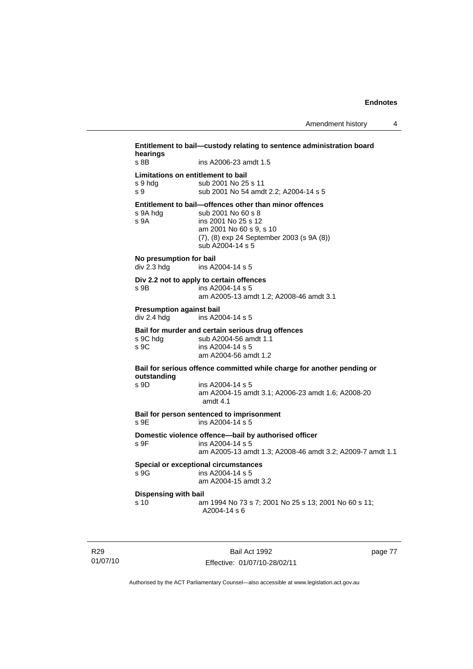| hearings<br>s 8B                               | ins A2006-23 amdt 1.5                                                         |  |
|------------------------------------------------|-------------------------------------------------------------------------------|--|
|                                                |                                                                               |  |
| Limitations on entitlement to bail<br>s 9 hdg  | sub 2001 No 25 s 11                                                           |  |
| S <sub>9</sub>                                 | sub 2001 No 54 amdt 2.2; A2004-14 s 5                                         |  |
| s 9A hdg                                       | Entitlement to bail—offences other than minor offences<br>sub 2001 No 60 s 8  |  |
| s 9A                                           | ins 2001 No 25 s 12<br>am 2001 No 60 s 9, s 10                                |  |
|                                                | (7), (8) exp 24 September 2003 (s 9A (8))<br>sub A2004-14 s 5                 |  |
| No presumption for bail<br>div 2.3 hdg         | ins A2004-14 s 5                                                              |  |
| Div 2.2 not to apply to certain offences       |                                                                               |  |
| s 9B.                                          | ins A2004-14 s 5<br>am A2005-13 amdt 1.2; A2008-46 amdt 3.1                   |  |
| <b>Presumption against bail</b><br>div 2.4 hdg | ins A2004-14 s 5                                                              |  |
| s 9C hdg                                       | Bail for murder and certain serious drug offences<br>sub A2004-56 amdt 1.1    |  |
| s 9C                                           | ins $A$ 2004-14 s 5<br>am A2004-56 amdt 1.2                                   |  |
|                                                | Bail for serious offence committed while charge for another pending or        |  |
| outstanding<br>s 9D                            | ins A2004-14 s 5                                                              |  |
|                                                | am A2004-15 amdt 3.1; A2006-23 amdt 1.6; A2008-20<br>amdt $4.1$               |  |
| s 9E                                           | Bail for person sentenced to imprisonment<br>ins A2004-14 s 5                 |  |
|                                                | Domestic violence offence-bail by authorised officer                          |  |
| s 9F                                           | ins A2004-14 s 5<br>am A2005-13 amdt 1.3; A2008-46 amdt 3.2; A2009-7 amdt 1.1 |  |
|                                                | <b>Special or exceptional circumstances</b>                                   |  |
| s 9G                                           | ins A2004-14 s 5<br>am A2004-15 amdt 3.2                                      |  |
| Dispensing with bail                           |                                                                               |  |
| s 10                                           | am 1994 No 73 s 7; 2001 No 25 s 13; 2001 No 60 s 11;                          |  |

R29 01/07/10

Bail Act 1992 Effective: 01/07/10-28/02/11 page 77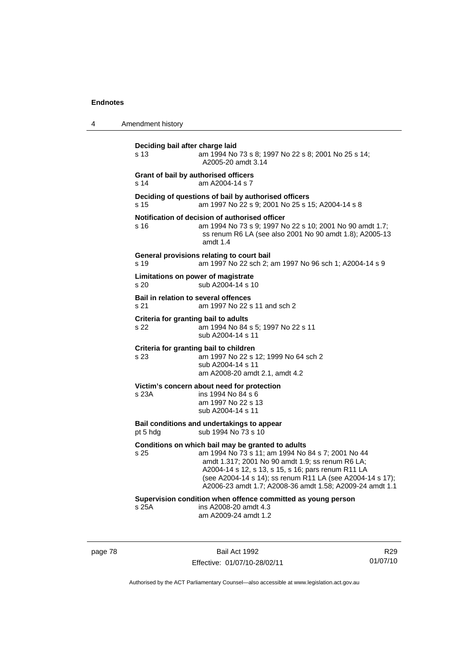4 Amendment history **Deciding bail after charge laid** s 13 am 1994 No 73 s 8; 1997 No 22 s 8; 2001 No 25 s 14; A2005-20 amdt 3.14 **Grant of bail by authorised officers**  s 14 am A2004-14 s 7 **Deciding of questions of bail by authorised officers** s 15 am 1997 No 22 s 9; 2001 No 25 s 15; A2004-14 s 8 **Notification of decision of authorised officer** s 16 am 1994 No 73 s 9; 1997 No 22 s 10; 2001 No 90 amdt 1.7; ss renum R6 LA (see also 2001 No 90 amdt 1.8); A2005-13 amdt 1.4 **General provisions relating to court bail** s 19 am 1997 No 22 sch 2; am 1997 No 96 sch 1; A2004-14 s 9 **Limitations on power of magistrate**  s 20 sub A2004-14 s 10 **Bail in relation to several offences** s 21 am 1997 No 22 s 11 and sch 2 **Criteria for granting bail to adults** s 22 am 1994 No 84 s 5; 1997 No 22 s 11 sub A2004-14 s 11 **Criteria for granting bail to children** s 23 am 1997 No 22 s 12; 1999 No 64 sch 2 sub A2004-14 s 11 am A2008-20 amdt 2.1, amdt 4.2 **Victim's concern about need for protection** s 23A ins 1994 No 84 s 6 am 1997 No 22 s 13 sub A2004-14 s 11 **Bail conditions and undertakings to appear** pt 5 hdg sub 1994 No 73 s 10 **Conditions on which bail may be granted to adults** s 25 am 1994 No 73 s 11; am 1994 No 84 s 7; 2001 No 44 amdt 1.317; 2001 No 90 amdt 1.9; ss renum R6 LA; A2004-14 s 12, s 13, s 15, s 16; pars renum R11 LA (see A2004-14 s 14); ss renum R11 LA (see A2004-14 s 17); A2006-23 amdt 1.7; A2008-36 amdt 1.58; A2009-24 amdt 1.1 **Supervision condition when offence committed as young person**  s 25A ins A2008-20 amdt 4.3 am A2009-24 amdt 1.2

page 78 Bail Act 1992 Effective: 01/07/10-28/02/11

R29 01/07/10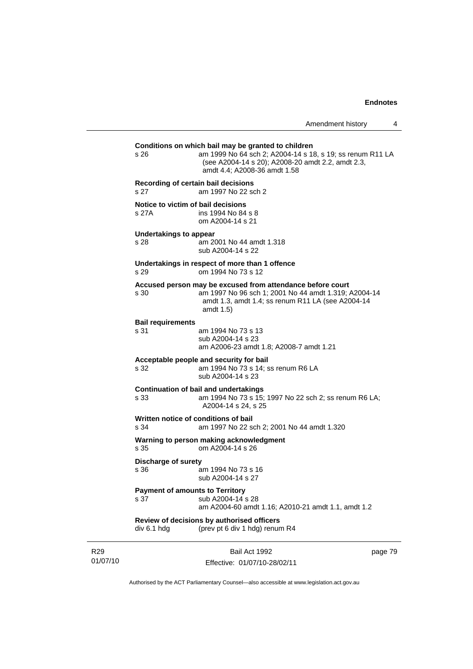|                             | $s\,26$                                                             | Conditions on which bail may be granted to children<br>am 1999 No 64 sch 2; A2004-14 s 18, s 19; ss renum R11 LA<br>(see A2004-14 s 20); A2008-20 amdt 2.2, amdt 2.3,<br>amdt 4.4; A2008-36 amdt 1.58 |         |
|-----------------------------|---------------------------------------------------------------------|-------------------------------------------------------------------------------------------------------------------------------------------------------------------------------------------------------|---------|
|                             | Recording of certain bail decisions<br>s 27                         | am 1997 No 22 sch 2                                                                                                                                                                                   |         |
|                             | Notice to victim of bail decisions<br>s 27A                         | ins 1994 No 84 s 8<br>om A2004-14 s 21                                                                                                                                                                |         |
|                             | Undertakings to appear<br>s 28                                      | am 2001 No 44 amdt 1.318<br>sub A2004-14 s 22                                                                                                                                                         |         |
|                             | s 29                                                                | Undertakings in respect of more than 1 offence<br>om 1994 No 73 s 12                                                                                                                                  |         |
|                             | s 30                                                                | Accused person may be excused from attendance before court<br>am 1997 No 96 sch 1; 2001 No 44 amdt 1.319; A2004-14<br>amdt 1.3, amdt 1.4; ss renum R11 LA (see A2004-14<br>amdt $1.5$                 |         |
|                             | <b>Bail requirements</b><br>s 31                                    | am 1994 No 73 s 13<br>sub A2004-14 s 23<br>am A2006-23 amdt 1.8; A2008-7 amdt 1.21                                                                                                                    |         |
|                             | s 32                                                                | Acceptable people and security for bail<br>am 1994 No 73 s 14; ss renum R6 LA<br>sub A2004-14 s 23                                                                                                    |         |
|                             | s 33                                                                | <b>Continuation of bail and undertakings</b><br>am 1994 No 73 s 15; 1997 No 22 sch 2; ss renum R6 LA;<br>A2004-14 s 24, s 25                                                                          |         |
|                             | Written notice of conditions of bail<br>s 34                        | am 1997 No 22 sch 2; 2001 No 44 amdt 1.320                                                                                                                                                            |         |
|                             | Warning to person making acknowledgment<br>s 35<br>om A2004-14 s 26 |                                                                                                                                                                                                       |         |
|                             | <b>Discharge of surety</b><br>s 36                                  | am 1994 No 73 s 16<br>sub A2004-14 s 27                                                                                                                                                               |         |
|                             | <b>Payment of amounts to Territory</b><br>s 37                      | sub A2004-14 s 28<br>am A2004-60 amdt 1.16; A2010-21 amdt 1.1, amdt 1.2                                                                                                                               |         |
|                             | div 6.1 hdg                                                         | Review of decisions by authorised officers<br>(prev pt 6 div 1 hdg) renum R4                                                                                                                          |         |
| R <sub>29</sub><br>01/07/10 |                                                                     | Bail Act 1992<br>Effective: 01/07/10-28/02/11                                                                                                                                                         | page 79 |

Authorised by the ACT Parliamentary Counsel—also accessible at www.legislation.act.gov.au

Effective: 01/07/10-28/02/11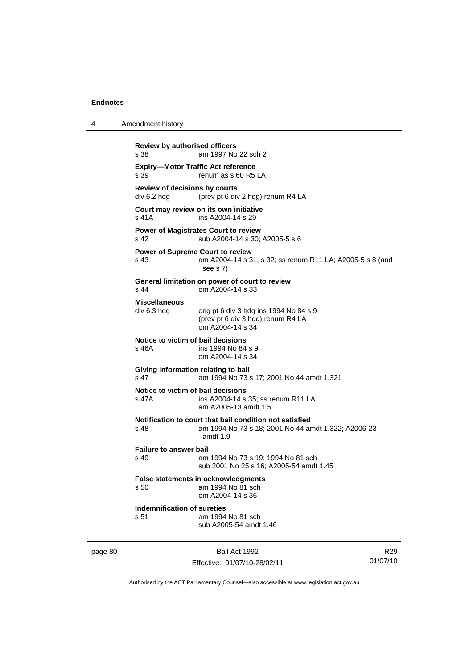| 4       | Amendment history                                                   |                                                                                                                            |                |  |
|---------|---------------------------------------------------------------------|----------------------------------------------------------------------------------------------------------------------------|----------------|--|
|         | <b>Review by authorised officers</b><br>am 1997 No 22 sch 2<br>s 38 |                                                                                                                            |                |  |
|         | s 39                                                                | <b>Expiry-Motor Traffic Act reference</b><br>renum as s 60 R5 LA                                                           |                |  |
|         | Review of decisions by courts<br>div 6.2 hdg                        | (prev pt 6 div 2 hdg) renum R4 LA                                                                                          |                |  |
|         | s 41A                                                               | Court may review on its own initiative<br>ins A2004-14 s 29                                                                |                |  |
|         | s 42                                                                | <b>Power of Magistrates Court to review</b><br>sub A2004-14 s 30; A2005-5 s 6                                              |                |  |
|         | <b>Power of Supreme Court to review</b><br>s 43                     | am A2004-14 s 31, s 32; ss renum R11 LA; A2005-5 s 8 (and<br>see s 7)                                                      |                |  |
|         | s 44                                                                | General limitation on power of court to review<br>om A2004-14 s 33                                                         |                |  |
|         | <b>Miscellaneous</b><br>div 6.3 hdg                                 | orig pt 6 div 3 hdg ins 1994 No 84 s 9<br>(prev pt 6 div 3 hdg) renum R4 LA<br>om A2004-14 s 34                            |                |  |
|         | Notice to victim of bail decisions<br>s 46A                         | ins 1994 No 84 s 9<br>om A2004-14 s 34                                                                                     |                |  |
|         | Giving information relating to bail<br>s 47                         | am 1994 No 73 s 17; 2001 No 44 amdt 1.321                                                                                  |                |  |
|         | Notice to victim of bail decisions<br>s 47A                         | ins A2004-14 s 35; ss renum R11 LA<br>am A2005-13 amdt 1.5                                                                 |                |  |
|         | s 48                                                                | Notification to court that bail condition not satisfied<br>am 1994 No 73 s 18; 2001 No 44 amdt 1.322; A2006-23<br>amdt 1.9 |                |  |
|         | <b>Failure to answer bail</b><br>s 49                               | am 1994 No 73 s 19; 1994 No 81 sch<br>sub 2001 No 25 s 16; A2005-54 amdt 1.45                                              |                |  |
|         | s 50                                                                | False statements in acknowledgments<br>am 1994 No 81 sch<br>om A2004-14 s 36                                               |                |  |
|         | Indemnification of sureties<br>s 51                                 | am 1994 No 81 sch<br>sub A2005-54 amdt 1.46                                                                                |                |  |
| page 80 |                                                                     | Bail Act 1992                                                                                                              | R <sub>2</sub> |  |

Effective: 01/07/10-28/02/11

R29 01/07/10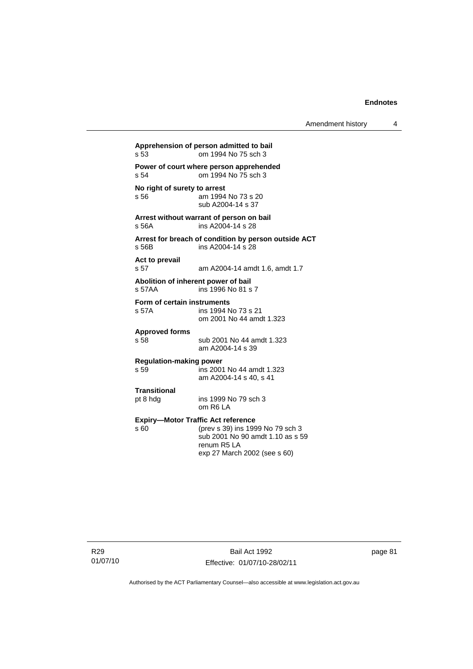**Apprehension of person admitted to bail** s 53 om 1994 No 75 sch 3 **Power of court where person apprehended** s 54 om 1994 No 75 sch 3 **No right of surety to arrest**<br>s 56 am 1994 am 1994 No 73 s 20 sub A2004-14 s 37 **Arrest without warrant of person on bail** s 56A ins A2004-14 s 28 **Arrest for breach of condition by person outside ACT** s 56B ins A2004-14 s 28 **Act to prevail**  s 57 am A2004-14 amdt 1.6, amdt 1.7 **Abolition of inherent power of bail** s 57AA ins 1996 No 81 s 7 **Form of certain instruments** s 57A ins 1994 No 73 s 21 om 2001 No 44 amdt 1.323 **Approved forms**  s 58 sub 2001 No 44 amdt 1.323 am A2004-14 s 39 **Regulation-making power**  s 59 ins 2001 No 44 amdt 1.323 am A2004-14 s 40, s 41 **Transitional** pt 8 hdg ins 1999 No 79 sch 3 om R6 LA **Expiry—Motor Traffic Act reference** s 60 (prev s 39) ins 1999 No 79 sch 3 sub 2001 No 90 amdt 1.10 as s 59 renum R5 LA exp 27 March 2002 (see s 60)

R29 01/07/10

Bail Act 1992 Effective: 01/07/10-28/02/11 page 81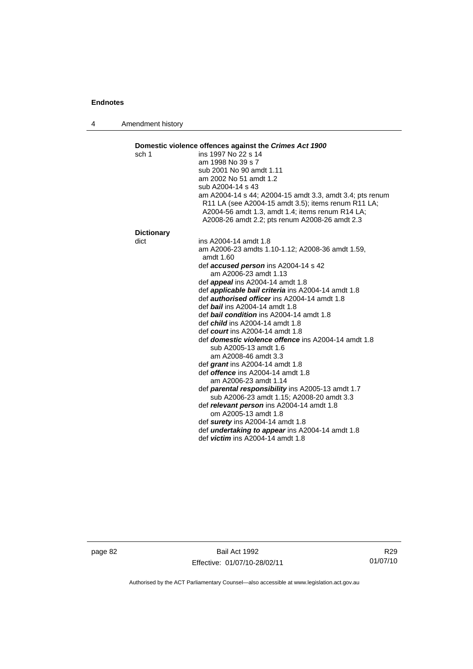4 Amendment history

| sch 1             | ins 1997 No 22 s 14                                                                                                                                                                                                   |
|-------------------|-----------------------------------------------------------------------------------------------------------------------------------------------------------------------------------------------------------------------|
|                   | am 1998 No 39 s 7                                                                                                                                                                                                     |
|                   | sub 2001 No 90 amdt 1.11                                                                                                                                                                                              |
|                   | am 2002 No 51 amdt 1.2                                                                                                                                                                                                |
|                   | sub A2004-14 s 43                                                                                                                                                                                                     |
|                   | am A2004-14 s 44; A2004-15 amdt 3.3, amdt 3.4; pts renum<br>R11 LA (see A2004-15 amdt 3.5); items renum R11 LA;<br>A2004-56 amdt 1.3, amdt 1.4; items renum R14 LA;<br>A2008-26 amdt 2.2; pts renum A2008-26 amdt 2.3 |
| <b>Dictionary</b> |                                                                                                                                                                                                                       |
| dict              | ins A2004-14 amdt 1.8                                                                                                                                                                                                 |
|                   | am A2006-23 amdts 1.10-1.12; A2008-36 amdt 1.59,<br>amdt 1.60                                                                                                                                                         |
|                   | def accused person ins A2004-14 s 42<br>am A2006-23 amdt 1.13                                                                                                                                                         |
|                   | def <i>appeal</i> ins A2004-14 amdt 1.8                                                                                                                                                                               |
|                   | def <b>applicable bail criteria</b> ins A2004-14 amdt 1.8                                                                                                                                                             |
|                   | def <b>authorised officer</b> ins A2004-14 amdt 1.8                                                                                                                                                                   |
|                   | def <b>bail</b> ins A2004-14 amdt 1.8                                                                                                                                                                                 |
|                   | def <b>bail condition</b> ins A2004-14 amdt 1.8                                                                                                                                                                       |
|                   | def <i>child</i> ins $A2004-14$ amdt 1.8                                                                                                                                                                              |
|                   | def court ins $A2004-14$ amdt 1.8                                                                                                                                                                                     |
|                   | def domestic violence offence ins A2004-14 amdt 1.8                                                                                                                                                                   |
|                   | sub A2005-13 amdt 1.6<br>am A2008-46 amdt 3.3                                                                                                                                                                         |
|                   | def grant ins A2004-14 amdt 1.8                                                                                                                                                                                       |
|                   | def <b>offence</b> ins A2004-14 amdt 1.8                                                                                                                                                                              |
|                   | am A2006-23 amdt 1.14                                                                                                                                                                                                 |
|                   | def <b>parental responsibility</b> ins A2005-13 amdt 1.7                                                                                                                                                              |
|                   | sub A2006-23 amdt 1.15; A2008-20 amdt 3.3                                                                                                                                                                             |
|                   | def relevant person ins A2004-14 amdt 1.8                                                                                                                                                                             |
|                   | om A2005-13 amdt 1.8                                                                                                                                                                                                  |
|                   |                                                                                                                                                                                                                       |
|                   | def surety ins A2004-14 amdt 1.8                                                                                                                                                                                      |
|                   | def <i>undertaking to appear</i> ins A2004-14 amdt 1.8<br>def <i>victim</i> ins $A2004-14$ amdt 1.8                                                                                                                   |

page 82 Bail Act 1992 Effective: 01/07/10-28/02/11

R29 01/07/10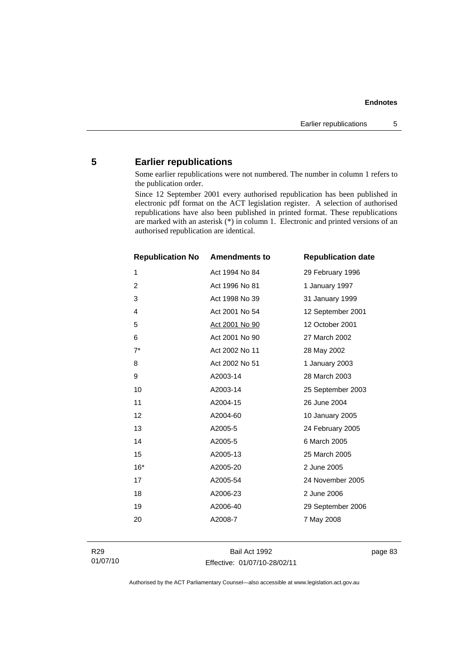# **5 Earlier republications**

Some earlier republications were not numbered. The number in column 1 refers to the publication order.

Since 12 September 2001 every authorised republication has been published in electronic pdf format on the ACT legislation register. A selection of authorised republications have also been published in printed format. These republications are marked with an asterisk (\*) in column 1. Electronic and printed versions of an authorised republication are identical.

| <b>Republication No</b> | <b>Amendments to</b> | <b>Republication date</b> |
|-------------------------|----------------------|---------------------------|
| 1                       | Act 1994 No 84       | 29 February 1996          |
| $\overline{c}$          | Act 1996 No 81       | 1 January 1997            |
| 3                       | Act 1998 No 39       | 31 January 1999           |
| 4                       | Act 2001 No 54       | 12 September 2001         |
| 5                       | Act 2001 No 90       | 12 October 2001           |
| 6                       | Act 2001 No 90       | 27 March 2002             |
| $7^*$                   | Act 2002 No 11       | 28 May 2002               |
| 8                       | Act 2002 No 51       | 1 January 2003            |
| 9                       | A2003-14             | 28 March 2003             |
| 10                      | A2003-14             | 25 September 2003         |
| 11                      | A2004-15             | 26 June 2004              |
| 12                      | A2004-60             | 10 January 2005           |
| 13                      | A2005-5              | 24 February 2005          |
| 14                      | A2005-5              | 6 March 2005              |
| 15                      | A2005-13             | 25 March 2005             |
| $16*$                   | A2005-20             | 2 June 2005               |
| 17                      | A2005-54             | 24 November 2005          |
| 18                      | A2006-23             | 2 June 2006               |
| 19                      | A2006-40             | 29 September 2006         |
| 20                      | A2008-7              | 7 May 2008                |
|                         |                      |                           |

Bail Act 1992 Effective: 01/07/10-28/02/11 page 83